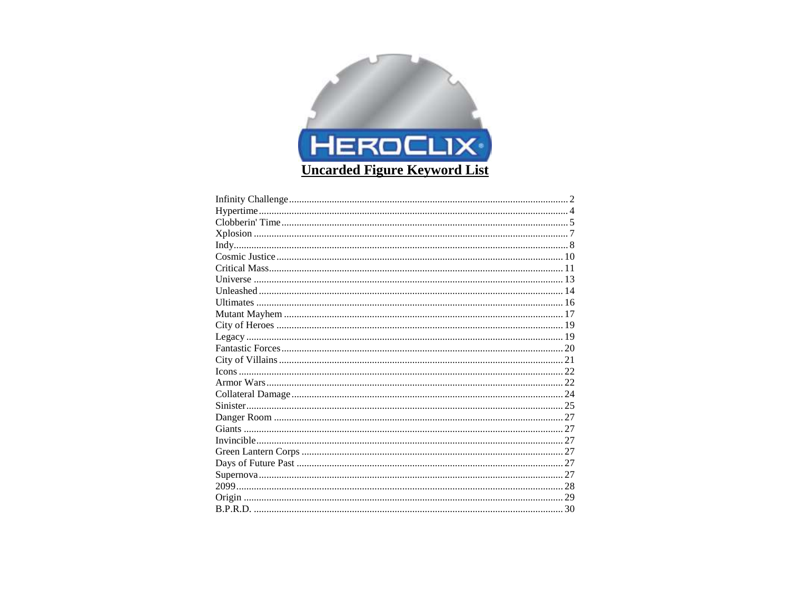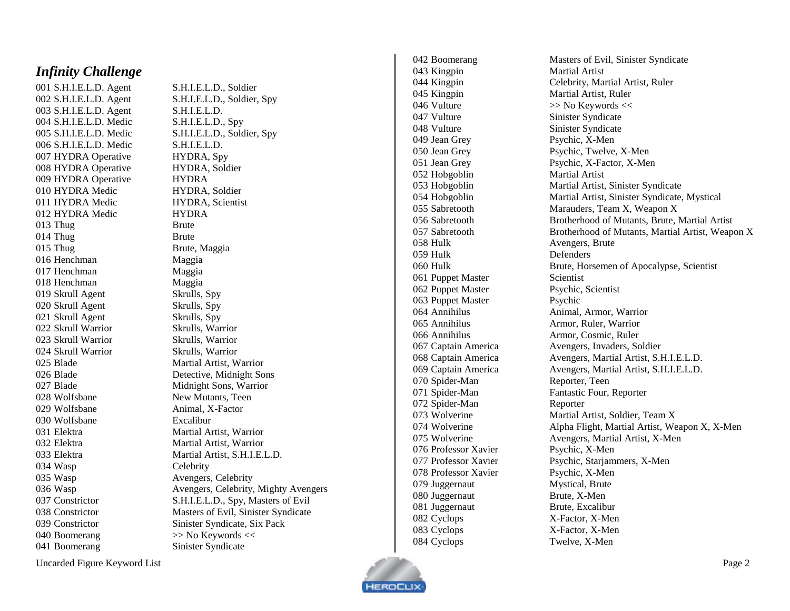#### <span id="page-1-0"></span>*Infinity Challenge*

001 S.H.I.E.L.D. Agen 003 S.H.I.E.L.D. Agent S.H.I.E.L.D. 004 S.H.I.E.L.D. Medic S.H.I.E.L.D., Spy 006 S.H.I.E.L.D. Medic S.H.I.E.L.D. 007 HYDRA Operative HYDRA, Spy 008 HYDRA Operative HYDRA, Soldier 009 HYDRA Operative HYDRA 010 HYDRA Medic HYDRA, Soldier 011 HYDRA Medic HYDRA, Scientist 012 HYDRA Medic HYDRA 013 Thug Brute 014 Thug Brute 015 Thug Brute, Maggia 016 Henchman Maggia 017 Henchman Maggia 018 Henchman Maggia 019 Skrull Agent Skrulls, Spy 020 Skrull Agent Skrulls, Spy 021 Skrull Agent Skrulls, Spy 022 Skrull Warrior Skrulls, Warrior 023 Skrull Warrior Skrulls, Warrior 024 Skrull Warrior Skrulls, Warrior 026 Blad 028 Wolfsbane New Mutants, Teen 029 Wolfsbane 030 Wolfsbane Excalibur 034 Wasp Celebrity 035 Wasp Avengers, Celebrity 040 Boomerang  $\gg$  No Keywords << 041 Boomerang Sinister Syndicate

S.H.I.E.L.D., Soldier 002 S.H.I.E.L.D. Agent S.H.I.E.L.D., Soldier, Spy 005 S.H.I.E.L.D. Medic S.H.I.E.L.D., Soldier, Spy 025 Blade Martial Artist, Warrior Detective, Midnight Sons 027 Blade Midnight Sons, Warrior X -Factor 031 Elektra Martial Artist, Warrior 032 Elektra Martial Artist, Warrior 033 Elektra Martial Artist, S.H.I.E.L.D. 036 Wasp Avengers, Celebrity, Mighty Avengers 037 Constrictor S.H.I.E.L.D., Spy, Masters of Evil 038 Constrictor Masters of Evil, Sinister Syndicate 039 Constrictor Sinister Syndicate, Six Pack

043 Kingpin Martial Artist 045 Kingpin Martial Artist, Ruler 046 Vulture  $\gg$  No Keywords  $\ll$ 047 Vulture Sinister Syndicate 048 Vulture Sinister Syndicate 049 Jean Grey 051 Jean Grey 052 Hobgoblin Martial Artist 058 Hulk Avengers, Brute 059 Hulk Defenders 061 Puppet Master Scientist 062 Puppet Master Psychic, Scientist 063 Puppet Master Psychic 067 Captain Americ 070 Spider-Man 071 Spider-Man 072 Spider-Man 076 Professor Xavier 078 Professor Xavier 079 Juggernaut Mystical, Brute 080 Juggernaut 081 Juggernaut Brute, Excalibur 082 Cyclops 083 Cyclops 084 Cyclops

042 Boomerang Masters of Evil, Sinister Syndicate 044 Kingpin Celebrity, Martial Artist, Ruler X -Men 050 Jean Grey Psychic, Twelve, X -Men X -Factor, X -Men 053 Hobgoblin Martial Artist, Sinister Syndicate 054 Hobgoblin Martial Artist, Sinister Syndicate, Mystical 055 Sabretooth Marauders, Team X, Weapon X 056 Sabretooth Brotherhood of Mutants, Brute, Martial Artist 057 Sabretooth Brotherhood of Mutants, Martial Artist, Weapon X 060 Hulk Brute, Horsemen of Apocalypse, Scientist 064 Annihilus **Animal, Armor, Warrior** 065 Annihilus **Armor, Ruler, Warrior** 066 Annihilus Armor, Cosmic, Ruler a Avengers, Invaders, Soldier 068 Captain America Avengers, Martial Artist, S.H.I.E.L.D. 069 Captain America Avengers, Martial Artist, S.H.I.E.L.D. Reporter, Teen Fantastic Four, Reporter Reporter 073 Wolverine Martial Artist, Soldier, Team X 074 Wolverine **Alpha Flight, Martial Artist, Weapon X, X-Men** 075 Wolverine **Avengers, Martial Artist, X-Men** X -Men 077 Professor Xavier Psychic, Starjammers, X-Men X - Men X -Men X -Factor, X -Men X -Factor, X -Men X -Men

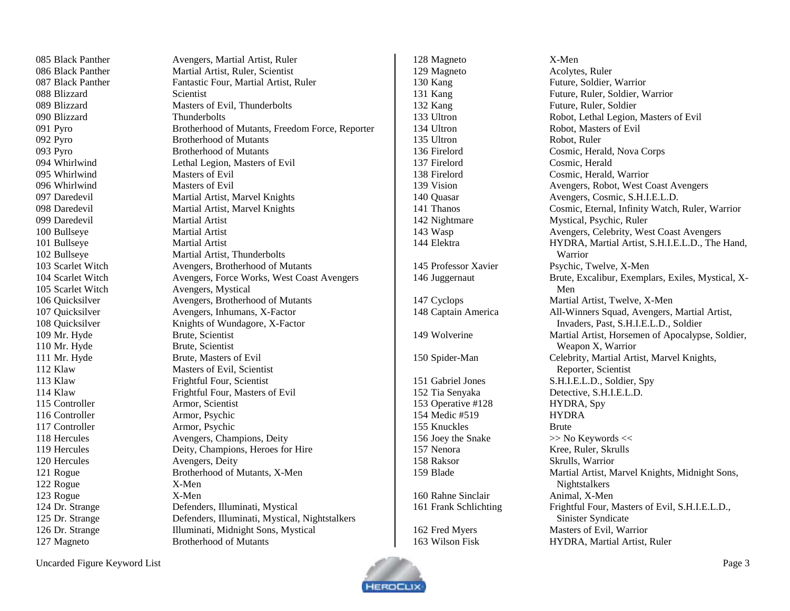Black Panther Avengers, Martial Artist, Ruler 088 Blizzard Scientist Blizzard Thunderbolts Pyro Brotherhood of Mutants Pyro Brotherhood of Mutants Whirlwind Masters of Evil 096 Whirlwind Masters of Evil Daredevil Martial Artist Bullseye Martial Artist Bullseye Martial Artist Scarlet Witch Avengers, Mystical 109 Mr. Hyde Brute, Scientist 110 Mr. Hyde Brute, Scientist 111 Mr. Hyde Brute, Masters of Evil Klaw Masters of Evil, Scientist Klaw Frightful Four, Scientist 115 Controller **Armor**, Scientist Controller Armor, Psychic Controller Armor, Psychic 120 Hercules Avengers, Deity Rogue X-Men Rogue X-Men Magneto Brotherhood of Mutants

 Black Panther Martial Artist, Ruler, Scientist 087 Black Panther Fantastic Four, Martial Artist, Ruler Blizzard Masters of Evil, Thunderbolts Pyro Brotherhood of Mutants, Freedom Force, Reporter Whirlwind Lethal Legion, Masters of Evil Daredevil Martial Artist, Marvel Knights Daredevil Martial Artist, Marvel Knights Bullseye Martial Artist, Thunderbolts Scarlet Witch Avengers, Brotherhood of Mutants Scarlet Witch Avengers, Force Works, West Coast Avengers Quicksilver Avengers, Brotherhood of Mutants Quicksilver Avengers, Inhumans, X-Factor 108 Quicksilver Knights of Wundagore, X-Factor Klaw Frightful Four, Masters of Evil 118 Hercules Avengers, Champions, Deity Hercules Deity, Champions, Heroes for Hire Rogue Brotherhood of Mutants, X-Men Dr. Strange Defenders, Illuminati, Mystical Dr. Strange Defenders, Illuminati, Mystical, Nightstalkers Dr. Strange Illuminati, Midnight Sons, Mystical

 Magneto X-Men Magneto Acolytes, Ruler 135 Ultron Robot, Ruler Firelord Cosmic, Herald Operative #128 HYDRA, Spy Medic #519 HYDRA 155 Knuckles Brute 156 Joey the Snake  $\gg$  No Keywords << Nenora Kree, Ruler, Skrulls Raksor Skrulls, Warrior 160 Rahne Sinclair Animal, X-Men

 Kang Future, Soldier, Warrior Kang Future, Ruler, Soldier, Warrior 132 Kang Future, Ruler, Soldier Ultron Robot, Lethal Legion, Masters of Evil 134 Ultron Robot, Masters of Evil Firelord Cosmic, Herald, Nova Corps Firelord Cosmic, Herald, Warrior Vision Avengers, Robot, West Coast Avengers 140 Quasar Avengers, Cosmic, S.H.I.E.L.D. Thanos Cosmic, Eternal, Infinity Watch, Ruler, Warrior Nightmare Mystical, Psychic, Ruler Wasp Avengers, Celebrity, West Coast Avengers Elektra HYDRA, Martial Artist, S.H.I.E.L.D., The Hand, Warrior Professor Xavier Psychic, Twelve, X-Men Juggernaut Brute, Excalibur, Exemplars, Exiles, Mystical, X-Men Cyclops Martial Artist, Twelve, X-Men Captain America All-Winners Squad, Avengers, Martial Artist, Invaders, Past, S.H.I.E.L.D., Soldier Wolverine Martial Artist, Horsemen of Apocalypse, Soldier, Weapon X, Warrior Spider-Man Celebrity, Martial Artist, Marvel Knights, Reporter, Scientist Gabriel Jones S.H.I.E.L.D., Soldier, Spy Tia Senyaka Detective, S.H.I.E.L.D. Blade Martial Artist, Marvel Knights, Midnight Sons, Nightstalkers 161 Frank Schlichting Frightful Four, Masters of Evil, S.H.I.E.L.D., Sinister Syndicate 162 Fred Myers Masters of Evil, Warrior Wilson Fisk HYDRA, Martial Artist, Ruler

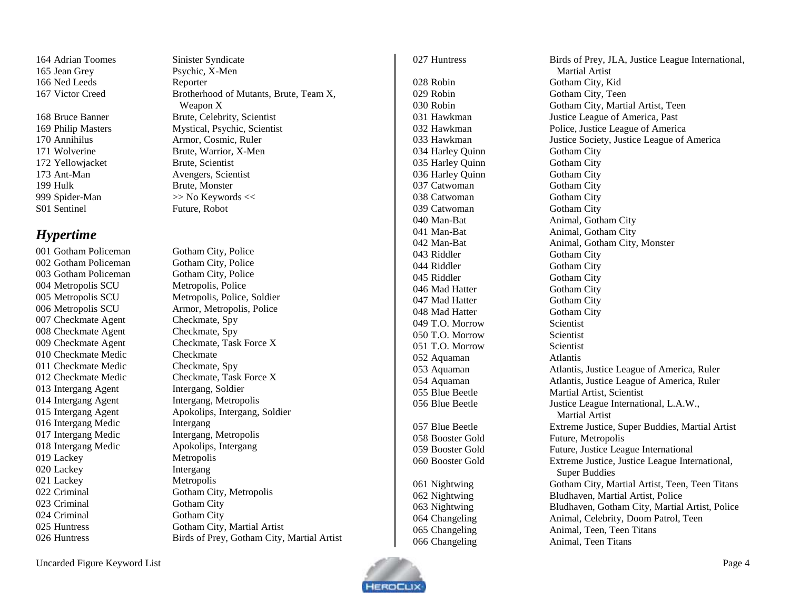164 Adrian Toomes Sinister Syndicate 165 Jean Grey 166 Ned Leeds Reporter

172 Yellowjacket Brute, Scientist 173 Ant 199 Hulk Brute, Monster 999 Spider-Man S01 Sentinel Future, Robot

#### <span id="page-3-0"></span>*Hypertime*

002 Gotham Policeman Gotham City, Police 003 Gotham Policeman Gotham City, Police 004 Metropolis SCU 007 Checkmate Agent Checkmate, Spy 008 Checkmate Agent Checkmate, Spy 009 Checkmate Agent 010 Checkmate Medic Checkmate 011 Checkmate Medi 013 Intergang Agent Intergang, Soldier 014 Intergang Agent Intergang, Metropolis 016 Intergang Medic Intergang 017 Intergang Medic Intergang, Metropolis 018 Intergang Medic Apokolips, Intergang 019 Lackey Metropolis 020 Lackey Intergang 021 Lackey Metropolis 023 Criminal Gotham City 024 Criminal Gotham City 026 Huntress

X -Men 167 Victor Creed Brotherhood of Mutants, Brute, Team X, Weapon X 168 Bruce Banner Brute, Celebrity, Scientist 169 Philip Masters Mystical, Psychic, Scientist 170 Annihilus Armor, Cosmic, Ruler 171 Wolverine Brute, Warrior, X-Men Avengers, Scientist  $>>$  No Keywords  $<<$ 

001 Gotham Policeman Gotham City, Police Metropolis, Police 005 Metropolis SCU Metropolis, Police, Soldier 006 Metropolis SCU Armor, Metropolis, Police Checkmate, Task Force X Checkmate, Spy 012 Checkmate Medic Checkmate, Task Force X 015 Intergang Agent Apokolips, Intergang, Soldier 022 Criminal Gotham City, Metropolis 025 Huntress Gotham City, Martial Artist Birds of Prey, Gotham City, Martial Artist

027 Huntress Birds of Prey, JLA, Justice League International, 028 Robin Gotham City, Kid 029 Robin Gotham City, Teen 034 Harley Quinn Gotham City 035 Harley Quinn Gotham City 036 Harley Quinn Gotham City 037 Catwoman Gotham City 038 Catwoman Gotham City 039 Catwoman 040 Man-Bat 041 Man-Bat 042 Man-Bat 043 Riddler Gotham City 044 Riddler Gotham City 045 Riddler Gotham City 046 Mad Hatter Gotham City 047 Mad Hatter Gotham City 048 Mad Hatter Gotham City 049 T.O. Morrow Scientist 050 T.O. Morrow Scientist 051 T.O. Morrow Scientist 052 Aquaman Atlantis 058 Booster Gold Future, Metropolis 060 Booster Gold

Martial Artist 030 Robin Gotham City, Martial Artist, Teen 031 Hawkman Justice League of America, Past 032 Hawkman Police, Justice League of America 033 Hawkman Justice Society, Justice League of America **Gotham City** Animal, Gotham City Animal, Gotham City Animal, Gotham City, Monster 053 Aquaman Atlantis, Justice League of America, Ruler 054 Aquaman Atlantis, Justice League of America, Ruler 055 Blue Beetle Martial Artist, Scientist 056 Blue Beetle Justice League International, L.A.W., Martial Artist 057 Blue Beetle Extreme Justice, Super Buddies, Martial Artist 059 Booster Gold Future, Justice League International Extreme Justice, Justice League International, Super Buddies 061 Nightwing Gotham City, Martial Artist, Teen, Teen Titans 062 Nightwing Bludhaven, Martial Artist, Police 063 Nightwing Bludhaven, Gotham City, Martial Artist, Police 064 Changeling **Animal, Celebrity, Doom Patrol, Teen** 065 Changeling Animal, Teen, Teen Titans 066 Changeling Animal, Teen Titans

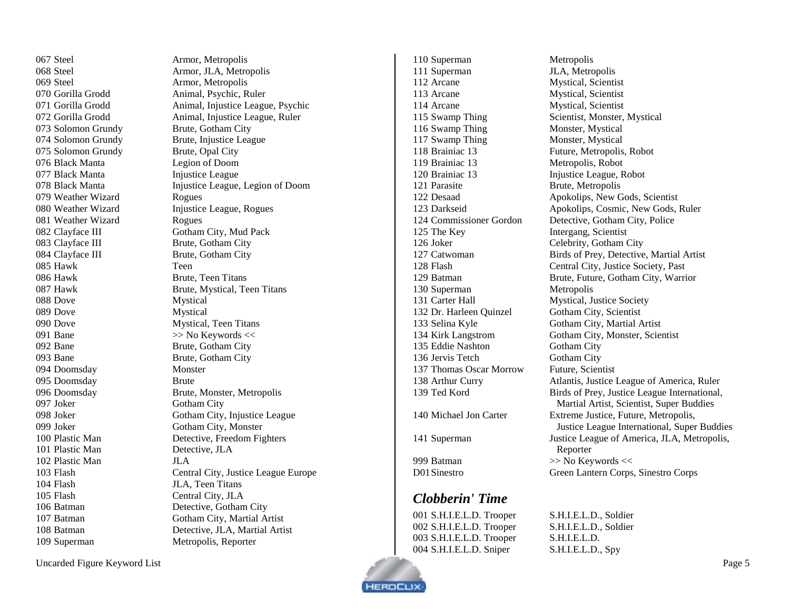067 Steel Armor, Metropolis 069 Steel Armor, Metropolis 073 Solomon Grundy Brute, Gotham City 075 Solomon Grundy Brute, Opal City 076 Black Manta Legion of Doom 077 Black Manta Injustice League 079 Weather Wizard Rogues 081 Weather Wizard Rogues 083 Clayface III Brute, Gotham City 084 Clayface III Brute, Gotham City 085 Hawk Teen 086 Hawk Brute, Teen Titans 088 Dove Mystical 089 Dove Mystical 090 Dove Mystical, Teen Titans 091 Bane  $\gg$  No Keywords  $\ll$ 092 Bane Brute, Gotham City 093 Bane Brute, Gotham City 094 Doomsday Monster 095 Doomsday Brute 097 Joker Gotham City 101 Plastic Man Detective, JLA 102 Plastic Man JLA 104 Flash JLA, Teen Titans 105 Flash Central City, JLA

 Steel Armor, JLA, Metropolis Gorilla Grodd Animal, Psychic, Ruler Gorilla Grodd Animal, Injustice League, Psychic Gorilla Grodd Animal, Injustice League, Ruler Solomon Grundy Brute, Injustice League 078 Black Manta Injustice League, Legion of Doom 080 Weather Wizard Injustice League, Rogues 082 Clayface III Gotham City, Mud Pack Hawk Brute, Mystical, Teen Titans Doomsday Brute, Monster, Metropolis Joker Gotham City, Injustice League 099 Joker Gotham City, Monster Plastic Man Detective, Freedom Fighters Flash Central City, Justice League Europe Batman Detective, Gotham City 107 Batman Gotham City, Martial Artist Batman Detective, JLA, Martial Artist Superman Metropolis, Reporter

110 Superman Metropolis 111 Superman JLA, Metropolis 112 Arcane Mystical, Scientist 113 Arcane Mystical, Scientist 114 Arcane Mystical, Scientist 116 Swamp Thing Monster, Mystical 117 Swamp Thing Monster, Mystical 118 Brainiac 13 Future, Metropolis, Robot 119 Brainiac 13 Metropolis, Robot 120 Brainiac 13 Injustice League, Robot 121 Parasite Brute, Metropolis 125 The Key Intergang, Scientist 126 Joker Celebrity, Gotham City 130 Superman Metropolis 131 Carter Hall Mystical, Justice Society 132 Dr. Harleen Quinzel Gotham City, Scientist 135 Eddie Nashton Gotham City 136 Jervis Tetch Gotham City 137 Thomas Oscar Morrow Future, Scientist

## <span id="page-4-0"></span>*Clobberin' Time*

 S.H.I.E.L.D. Trooper S.H.I.E.L.D., Soldier S.H.I.E.L.D. Trooper S.H.I.E.L.D., Soldier S.H.I.E.L.D. Trooper S.H.I.E.L.D. S.H.I.E.L.D. Sniper S.H.I.E.L.D., Spy

115 Swamp Thing Scientist, Monster, Mystical Desaad Apokolips, New Gods, Scientist Darkseid Apokolips, Cosmic, New Gods, Ruler Commissioner Gordon Detective, Gotham City, Police Catwoman Birds of Prey, Detective, Martial Artist Flash Central City, Justice Society, Past Batman Brute, Future, Gotham City, Warrior Selina Kyle Gotham City, Martial Artist Kirk Langstrom Gotham City, Monster, Scientist 138 Arthur Curry **Atlantis, Justice League of America, Ruler**  Ted Kord Birds of Prey, Justice League International, Martial Artist, Scientist, Super Buddies Michael Jon Carter Extreme Justice, Future, Metropolis, Justice League International, Super Buddies Superman Justice League of America, JLA, Metropolis, Reporter 999 Batman  $\gg$  No Keywords << D01Sinestro Green Lantern Corps, Sinestro Corps

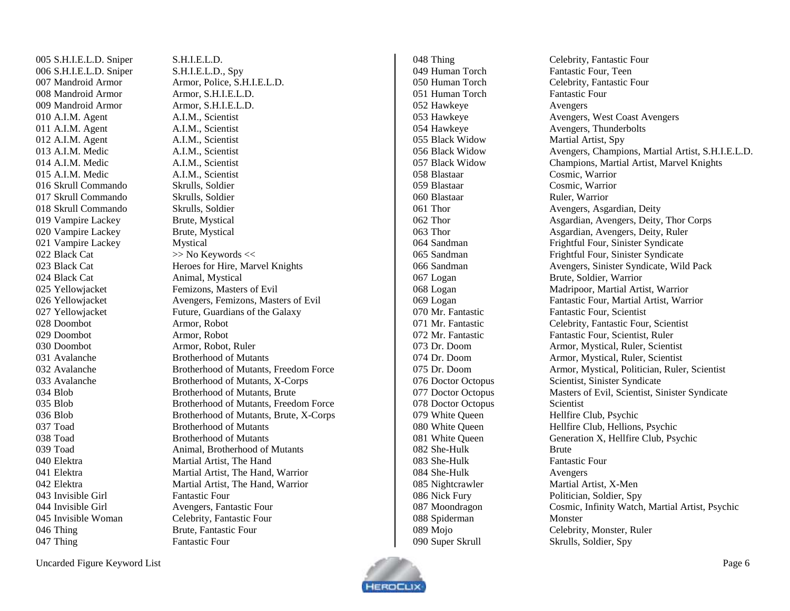S.H.I.E.L.D. Sniper S.H.I.E.L.D. S.H.I.E.L.D. Sniper S.H.I.E.L.D., Spy Mandroid Armor Armor, S.H.I.E.L.D. Mandroid Armor Armor, S.H.I.E.L.D. 010 A.I.M. Agent A.I.M., Scientist 011 A.I.M. Agent A.I.M., Scientist 012 A.I.M. Agent A.I.M., Scientist 013 A.I.M. Medic A.I.M., Scientist 014 A.I.M. Medic A.I.M. Scientist 015 A.I.M. Medic A.I.M., Scientist Skrull Commando Skrulls, Soldier Skrull Commando Skrulls, Soldier Skrull Commando Skrulls, Soldier Vampire Lackey Brute, Mystical Vampire Lackey Brute, Mystical Vampire Lackey Mystical 022 Black Cat  $\gg$  No Keywords << 024 Black Cat Animal, Mystical Doombot Armor, Robot Doombot Armor, Robot Doombot Armor, Robot, Ruler Avalanche Brotherhood of Mutants Toad Brotherhood of Mutants Toad Brotherhood of Mutants 040 Elektra Martial Artist, The Hand 043 Invisible Girl Fantastic Four Invisible Woman Celebrity, Fantastic Four 046 Thing Brute, Fantastic Four 047 Thing Fantastic Four

 Mandroid Armor Armor, Police, S.H.I.E.L.D. 023 Black Cat Heroes for Hire, Marvel Knights 025 Yellowiacket Femizons, Masters of Evil Yellowjacket Avengers, Femizons, Masters of Evil 027 Yellowjacket Future, Guardians of the Galaxy Avalanche Brotherhood of Mutants, Freedom Force Avalanche Brotherhood of Mutants, X-Corps Blob Brotherhood of Mutants, Brute Blob Brotherhood of Mutants, Freedom Force Blob Brotherhood of Mutants, Brute, X-Corps Toad Animal, Brotherhood of Mutants Elektra Martial Artist, The Hand, Warrior Elektra Martial Artist, The Hand, Warrior Invisible Girl Avengers, Fantastic Four

049 Human Torch Fantastic Four, Teen Human Torch Fantastic Four 052 Hawkeye Avengers Black Widow Martial Artist, Spy Blastaar Cosmic, Warrior Blastaar Cosmic, Warrior 060 Blastaar Ruler, Warrior 078 Doctor Octopus Scientist 082 She-Hulk Brute She-Hulk Fantastic Four She-Hulk Avengers 088 Spiderman Monster Super Skrull Skrulls, Soldier, Spy

 Thing Celebrity, Fantastic Four Human Torch Celebrity, Fantastic Four 053 Hawkeye Avengers, West Coast Avengers 054 Hawkeye Avengers, Thunderbolts Black Widow Avengers, Champions, Martial Artist, S.H.I.E.L.D. Black Widow Champions, Martial Artist, Marvel Knights Thor Avengers, Asgardian, Deity Thor Asgardian, Avengers, Deity, Thor Corps Thor Asgardian, Avengers, Deity, Ruler Sandman Frightful Four, Sinister Syndicate Sandman Frightful Four, Sinister Syndicate Sandman Avengers, Sinister Syndicate, Wild Pack Logan Brute, Soldier, Warrior Logan Madripoor, Martial Artist, Warrior Logan Fantastic Four, Martial Artist, Warrior Mr. Fantastic Fantastic Four, Scientist Mr. Fantastic Celebrity, Fantastic Four, Scientist Mr. Fantastic Fantastic Four, Scientist, Ruler Dr. Doom Armor, Mystical, Ruler, Scientist Dr. Doom Armor, Mystical, Ruler, Scientist Dr. Doom Armor, Mystical, Politician, Ruler, Scientist 076 Doctor Octopus Scientist, Sinister Syndicate Doctor Octopus Masters of Evil, Scientist, Sinister Syndicate 079 White Queen Hellfire Club, Psychic White Queen Hellfire Club, Hellions, Psychic White Queen Generation X, Hellfire Club, Psychic 085 Nightcrawler Martial Artist, X-Men Nick Fury Politician, Soldier, Spy Moondragon Cosmic, Infinity Watch, Martial Artist, Psychic Mojo Celebrity, Monster, Ruler

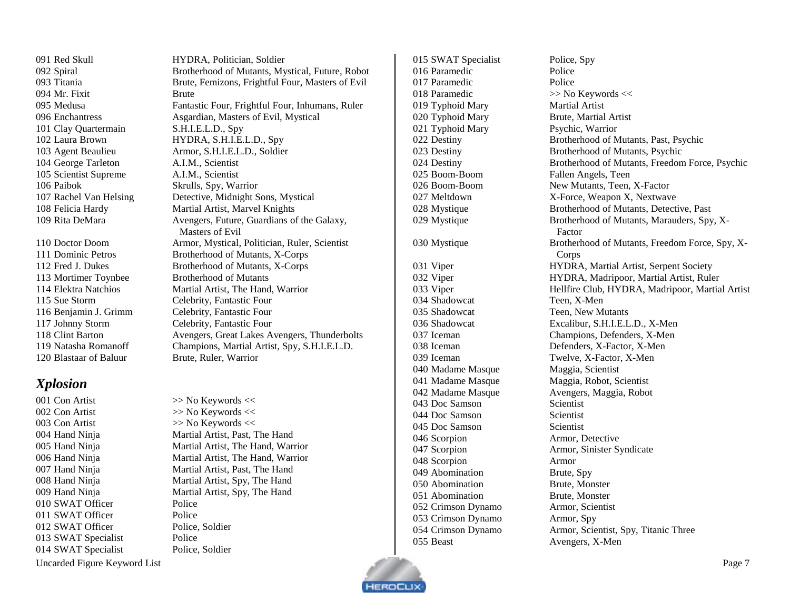094 Mr. Fixit Brute 101 Clay Quartermain S.H.I.E.L.D., Spy George Tarleton A.I.M., Scientist Scientist Supreme A.I.M., Scientist Paibok Skrulls, Spy, Warrior

Blastaar of Baluur Brute, Ruler, Warrior

## <span id="page-6-0"></span>*Xplosion*

001 Con Artist >> No Keywords << 002 Con Artist >> No Keywords << 003 Con Artist >> No Keywords << 010 SWAT Officer Police 011 SWAT Officer Police 012 SWAT Officer Police, Soldier SWAT Specialist Police 014 SWAT Specialist Police, Soldier

 Red Skull HYDRA, Politician, Soldier Spiral Brotherhood of Mutants, Mystical, Future, Robot Titania Brute, Femizons, Frightful Four, Masters of Evil Medusa Fantastic Four, Frightful Four, Inhumans, Ruler Enchantress Asgardian, Masters of Evil, Mystical Laura Brown HYDRA, S.H.I.E.L.D., Spy Agent Beaulieu Armor, S.H.I.E.L.D., Soldier Rachel Van Helsing Detective, Midnight Sons, Mystical Felicia Hardy Martial Artist, Marvel Knights 109 Rita DeMara Avengers, Future, Guardians of the Galaxy, Masters of Evil Doctor Doom Armor, Mystical, Politician, Ruler, Scientist Dominic Petros Brotherhood of Mutants, X-Corps Fred J. Dukes Brotherhood of Mutants, X-Corps Mortimer Toynbee Brotherhood of Mutants Elektra Natchios Martial Artist, The Hand, Warrior Sue Storm Celebrity, Fantastic Four Benjamin J. Grimm Celebrity, Fantastic Four Johnny Storm Celebrity, Fantastic Four Clint Barton Avengers, Great Lakes Avengers, Thunderbolts Natasha Romanoff Champions, Martial Artist, Spy, S.H.I.E.L.D.

 Hand Ninja Martial Artist, Past, The Hand Hand Ninja Martial Artist, The Hand, Warrior Hand Ninja Martial Artist, The Hand, Warrior Hand Ninja Martial Artist, Past, The Hand Hand Ninja Martial Artist, Spy, The Hand Hand Ninja Martial Artist, Spy, The Hand

016 Paramedic Police 017 Paramedic Police 018 Paramedic  $\gg$  No Keywords << Typhoid Mary Martial Artist Typhoid Mary Brute, Martial Artist Typhoid Mary Psychic, Warrior Boom-Boom Fallen Angels, Teen Shadowcat Teen, X-Men Shadowcat Teen, New Mutants Madame Masque Maggia, Scientist 043 Doc Samson Scientist 044 Doc Samson Scientist 045 Doc Samson Scientist Scorpion Armor, Detective Scorpion Armor Abomination Brute, Spy Abomination Brute, Monster Abomination Brute, Monster Crimson Dynamo Armor, Scientist Crimson Dynamo Armor, Spy 055 Beast Avengers, X-Men

 SWAT Specialist Police, Spy Destiny Brotherhood of Mutants, Past, Psychic Destiny Brotherhood of Mutants, Psychic Destiny Brotherhood of Mutants, Freedom Force, Psychic Boom-Boom New Mutants, Teen, X-Factor 027 Meltdown X-Force, Weapon X, Nextwave Mystique Brotherhood of Mutants, Detective, Past Mystique Brotherhood of Mutants, Marauders, Spy, X-Factor Mystique Brotherhood of Mutants, Freedom Force, Spy, X-Corps Viper HYDRA, Martial Artist, Serpent Society Viper HYDRA, Madripoor, Martial Artist, Ruler Viper Hellfire Club, HYDRA, Madripoor, Martial Artist Shadowcat Excalibur, S.H.I.E.L.D., X-Men Iceman Champions, Defenders, X-Men Iceman Defenders, X-Factor, X-Men Iceman Twelve, X-Factor, X-Men Madame Masque Maggia, Robot, Scientist Madame Masque Avengers, Maggia, Robot Scorpion Armor, Sinister Syndicate Crimson Dynamo Armor, Scientist, Spy, Titanic Three

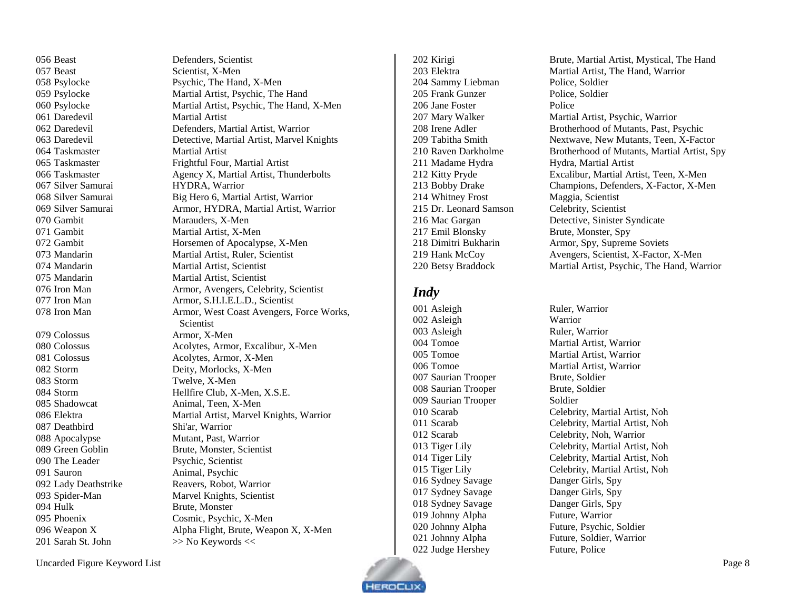057 Beast Scientist, X-Men 061 Daredevil Martial Artist 064 Taskmaster Martial Artist Silver Samurai HYDRA, Warrior Gambit Marauders, X-Men 071 Gambit Martial Artist, X-Men 074 Mandarin Martial Artist, Scientist Mandarin Martial Artist, Scientist Colossus Armor, X-Men 081 Colossus Acolytes, Armor, X-Men Storm Deity, Morlocks, X-Men Storm Twelve, X-Men 085 Shadowcat Animal, Teen, X-Men Deathbird Shi'ar, Warrior Apocalypse Mutant, Past, Warrior Green Goblin Brute, Monster, Scientist 090 The Leader Psychic, Scientist Sauron Animal, Psychic 092 Lady Deathstrike Reavers, Robot, Warrior Spider-Man Marvel Knights, Scientist 094 Hulk Brute, Monster Phoenix Cosmic, Psychic, X-Men

 Beast Defenders, Scientist 058 Psylocke Psychic, The Hand, X-Men Psylocke Martial Artist, Psychic, The Hand Psylocke Martial Artist, Psychic, The Hand, X-Men Daredevil Defenders, Martial Artist, Warrior Daredevil Detective, Martial Artist, Marvel Knights 065 Taskmaster Frightful Four, Martial Artist 066 Taskmaster Agency X, Martial Artist, Thunderbolts Silver Samurai Big Hero 6, Martial Artist, Warrior Silver Samurai Armor, HYDRA, Martial Artist, Warrior Gambit Horsemen of Apocalypse, X-Men Mandarin Martial Artist, Ruler, Scientist 076 Iron Man Armor, Avengers, Celebrity, Scientist 077 Iron Man Armor, S.H.I.E.L.D., Scientist 078 Iron Man Armor, West Coast Avengers, Force Works, **Scientist** 080 Colossus Acolytes, Armor, Excalibur, X-Men Storm Hellfire Club, X-Men, X.S.E. Elektra Martial Artist, Marvel Knights, Warrior Weapon X Alpha Flight, Brute, Weapon X, X-Men 201 Sarah St. John  $\gg$  No Keywords  $\ll$ 

 Sammy Liebman Police, Soldier 205 Frank Gunzer Police, Soldier 206 Jane Foster Police 211 Madame Hydra Hydra, Martial Artist 214 Whitney Frost Maggia, Scientist Dr. Leonard Samson Celebrity, Scientist 217 Emil Blonsky Brute, Monster, Spy Betsy Braddock Martial Artist, Psychic, The Hand, Warrior

#### <span id="page-7-0"></span>*Indy*

001 Asleigh Ruler, Warrior Asleigh Warrior Asleigh Ruler, Warrior Saurian Trooper Brute, Soldier Saurian Trooper Brute, Soldier Saurian Trooper Soldier Sydney Savage Danger Girls, Spy Sydney Savage Danger Girls, Spy Sydney Savage Danger Girls, Spy Johnny Alpha Future, Warrior Judge Hershey Future, Police

 Kirigi Brute, Martial Artist, Mystical, The Hand Elektra Martial Artist, The Hand, Warrior 207 Mary Walker Martial Artist, Psychic, Warrior Irene Adler Brotherhood of Mutants, Past, Psychic Tabitha Smith Nextwave, New Mutants, Teen, X-Factor 210 Raven Darkholme Brotherhood of Mutants, Martial Artist, Spy Kitty Pryde Excalibur, Martial Artist, Teen, X-Men Bobby Drake Champions, Defenders, X-Factor, X-Men Mac Gargan Detective, Sinister Syndicate Dimitri Bukharin Armor, Spy, Supreme Soviets Hank McCoy Avengers, Scientist, X-Factor, X-Men

 Tomoe Martial Artist, Warrior Tomoe Martial Artist, Warrior Tomoe Martial Artist, Warrior Scarab Celebrity, Martial Artist, Noh Scarab Celebrity, Martial Artist, Noh Scarab Celebrity, Noh, Warrior Tiger Lily Celebrity, Martial Artist, Noh Tiger Lily Celebrity, Martial Artist, Noh Tiger Lily Celebrity, Martial Artist, Noh Johnny Alpha Future, Psychic, Soldier Johnny Alpha Future, Soldier, Warrior

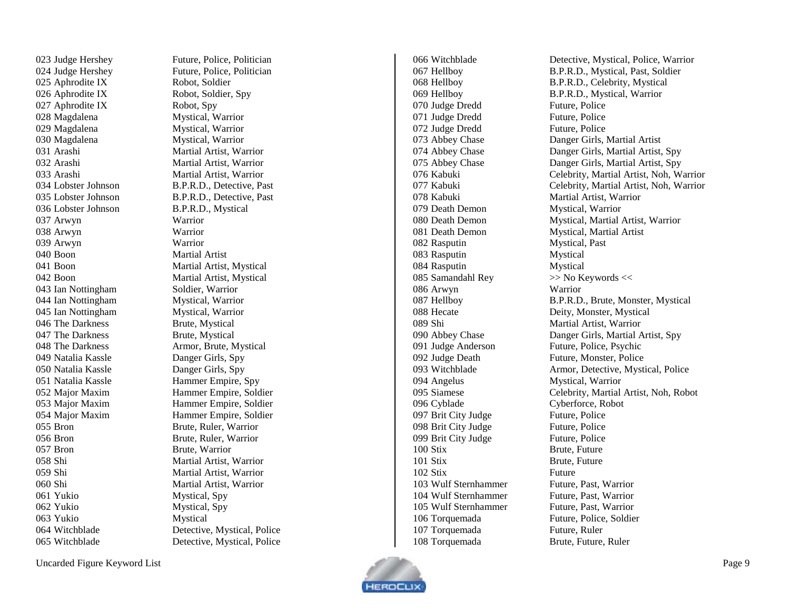023 Judge Hershey Future, Police, Politician 025 Aphrodite IX Robot, Soldier 026 Aphrodite IX Robot, Soldier, Spy 027 Aphrodite IX Robot, Spy 028 Magdalena Mystical, Warrior Magdalena Mystical, Warrior Magdalena Mystical, Warrior Lobster Johnson B.P.R.D., Mystical Arwyn Warrior Arwyn Warrior Arwyn Warrior 040 Boon Martial Artist 043 Ian Nottingham Soldier, Warrior Ian Nottingham Mystical, Warrior Ian Nottingham Mystical, Warrior 046 The Darkness Brute, Mystical 047 The Darkness Brute, Mystical Natalia Kassle Danger Girls, Spy Natalia Kassle Danger Girls, Spy Bron Brute, Ruler, Warrior Bron Brute, Ruler, Warrior Bron Brute, Warrior Yukio Mystical, Spy Yukio Mystical, Spy Yukio Mystical

024 Judge Hershey Future, Police, Politician Arashi Martial Artist, Warrior Arashi Martial Artist, Warrior Arashi Martial Artist, Warrior Lobster Johnson B.P.R.D., Detective, Past Lobster Johnson B.P.R.D., Detective, Past Boon Martial Artist, Mystical Boon Martial Artist, Mystical 048 The Darkness Armor, Brute, Mystical Natalia Kassle Hammer Empire, Spy Major Maxim Hammer Empire, Soldier Major Maxim Hammer Empire, Soldier Major Maxim Hammer Empire, Soldier Shi Martial Artist, Warrior Shi Martial Artis t, Warrior Shi Martial Artist, Warrior Witchblade Detective, Mystical, Police Witchblade Detective, Mystical, Police

070 Judge Dredd Future, Police Judge Dredd Future, Police Judge Dredd Future, Police 078 Kabuki Martial Artist, Warrior Death Demon Death Demon Mystical, Martial Artist Rasputin Mystical, Past Rasputin Mystical 084 Rasputin Mystical<br>
085 Samandahl Rev >> No Keywords << 085 Samandahl Rey Arwyn Warrior Shi Martial Artist, Warrior Judge Anderson Future, Police, Psychic Judge Death Future, Monster, Police 094 Angelus Mystical, Warrior Cyblade Cyberforce, Robot 097 Brit City Judge Future, Police Brit City Judge Future, Police 099 Brit City Judge Future, Police Stix Brute, Futur e Stix Brute, Future Stix Future 103 Wulf Sternhammer Future, Past, Warrior 104 Wulf Sternhammer Future, Past, Warrior 105 Wulf Sternhammer Future, Past, Warrior Torquemada Future, Police, Soldier 107 Torquemada Future, Ruler<br>108 Torquemada Brute, Future,

 Witchblade Detective, Mystical, Police, Warrior Hellboy B.P.R.D., Mystical, Past, Soldier Hellboy B.P.R.D., Celebrity, Mystical Hellboy B.P.R.D., Mystical, Warrior 073 Abbey Chase Danger Girls, Martial Artist Abbey Chase Danger Girls, Martial Artist, Spy Abbey Chase Danger Girls, Martial Artist, Spy Kabuki Celebrity, Martial Artist, Noh, Warrior Kabuki Celebrity, Martial Artist, Noh, Warrior Mystical, Warrior Death Demon Mystical, Martial Artist, Warrior Hellboy B.P.R.D., Brute, Monster, Mystical Hecate Deity, Monster, Mystical Abbey Chase Danger Girls, Martial Artist, Spy Witchblade Armor, Detectiv e, Mystical, Police Siamese Celebrity, Martial Artist, Noh, Robot Brute, Future, Ruler

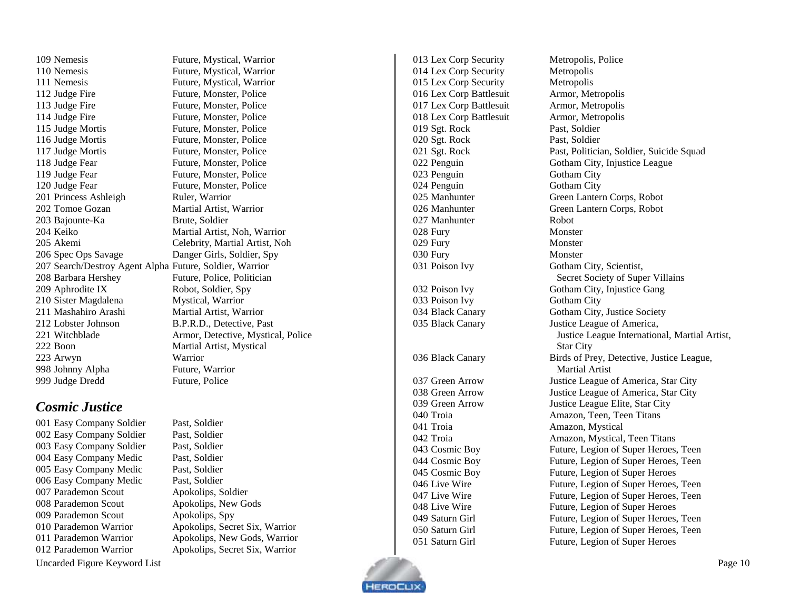Nemesis Future, Mystical, Warrior Nemesis Future, Mystical, Warrior Nemesis Future, Mystical, Warrior 112 Judge Fire Future, Monster, Police 113 Judge Fire Future, Monster, Police 114 Judge Fire Future, Monster, Police Judge Mortis Future, Monster, Police 116 Judge Mortis Future, Monster, Police 117 Judge Mortis Future, Monster, Police 118 Judge Fear Future, Monster, Police 119 Judge Fear Future, Monster, Police 120 Judge Fear Future, Monster, Police Princess Ashleigh Tomoe Gozan Martial Artist, Warrior 203 Bajounte-Ka Keiko Martial Artist, Noh, Warrior Akemi Celebrity, Martial Artist, Noh Spec Ops Savage Danger Girls, Soldier, Spy Search/Destroy Agent Alpha Future, Soldier, Warrior Barbara Hershey Future, Police, Politician 209 Aphrodite IX Robot, Soldier, Spy 210 Sister Magdalena Mystical, Warrior 211 Mashahiro Arashi Martial Artist, Warrior Lobster Johnson B.P.R.D., Detective, Past Witchblade Armor, Detectiv e, Mystical, Police Boon Martial Artist, Mystical Arwyn Warrior Johnny Alpha Future, Warrior Judge Dredd Future, Police

#### <span id="page-9-0"></span>*Cosmic Justice*

Uncarded Figure Keyword List Page 10 Easy Company Soldier Past, Soldier Easy Company Soldier Past, Soldier Easy Company Soldier Past, Soldier Easy Company Medic Past, Soldier Easy Company Medic Past, Soldier Easy Company Medic Past, Soldier Parademon Scout Apokolips, Soldier Parademon Scout Apokolips, New Gods Parademon Scout Apokolips, Spy Parademon Warrior Apokolips, Secret Six, Warrior Parademon Warrior Apokolips, New Gods, Warrior Parademon Warrior Apokolips, Secret Six, Warrior

Ruler, Warrior Brute, Soldier

 Lex Corp Security Metropolis Lex Corp Security Metropolis 016 Lex Corp Battlesuit Lex Corp Battlesuit Armor, Metropolis Lex Corp Battlesuit Armor, Metropolis Sgt. Rock Past, Soldier Sgt. Rock Past, Soldier 023 Penguin Gotham City 024 Penguin Gotham City Manhunter Robot 028 Fury Monster 029 Fury Monster Fury Monster 033 Poison Ivy Gotham City 036 Black Canary Troia Amazon, Mystical

 Lex Corp Security Metropolis, Police Armor, Metropolis Sgt. Rock Past, Politician, Soldier, Suicide Squad Penguin Gotham City, Injustice League Manhunter Green Lantern Corps, Robot Manhunter Green Lantern Corps, Robot 031 Poison Ivy Gotham City, Scientist, Secret Society of Super Villains Poison Ivy Gotham City, Injustice Gang Black Canary Gotham City, Justice Society Black Canary Justice League of America, Justice League International, Martial Artist, Star City Birds of Prey, Detective, Justice League, Martial Artist Green Arrow Justice League of America, Star City Green Arrow Justice League of America, Star City Green Arrow Justice League Elite, Star City Troia Amazon, Teen, Teen Titans Troia Amazon, Mystical, Teen Titans Cosmic Boy Future, Legion of Super Heroes, Teen Cosmic Boy Future, Legion of Super Heroes, Teen Cosmic Boy Future, Legion of Super Heroes 046 Live Wire Future, Legion of Super Heroes, Teen 047 Live Wire Future, Legion of Super Heroes, Teen 048 Live Wire Future, Legion of Super Heroes Saturn Girl Future, Legion of Super Heroes, Teen 050 Saturn Girl Future, Legion of Super Heroes, Teen 051 Saturn Girl Future, Legion of Super Heroes

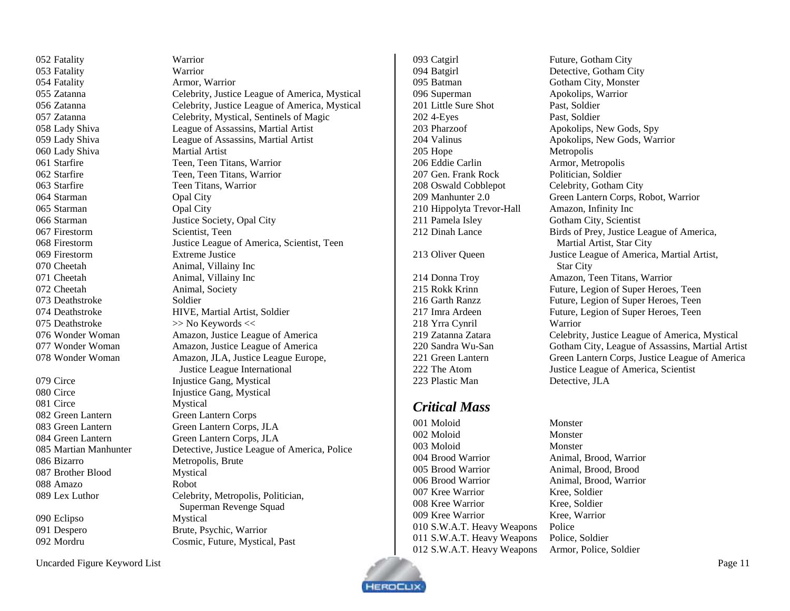Fatality Warrior Fatality Armor, Warrior 060 Lady Shiva Martial Artist 063 Starfire Teen Titans, Warrior Starman Opal City Starman Opal City Firestorm Scientist, Teen Firestorm Extreme Justice 070 Cheetah Animal, Villainy Inc 071 Cheetah Animal, Villainy Inc 072 Cheetah Animal, Society 073 Deathstroke Soldier 075 Deathstroke  $\gg$  No Keywords  $\ll$  Circe Mystical Green Lantern Green Lantern Corps Bizarro Metropolis, Brute Brother Blood Mystical Amazo Robot Eclipso Mystical

Mordru Cosmic, Future, Mystical, Past

 Fatality Warrior Zatanna Celebrity, Justice League of America, Mystical Zatanna Celebrity, Justice League of America, Mystical Zatanna Celebrity, Mystical, Sentinels of Magic Lady Shiva League of Assassins, Martial Artist Lady Shiva League of Assassins, Martial Artist 061 Starfire Teen, Teen, Teen Titans, Warrior 062 Starfire Teen, Teen, Teen Titans, Warrior Starman Justice Society, Opal City Firestorm Justice League of America, Scientist, Teen Deathstroke HIVE, Martial Artist, Soldier Wonder Woman Amazon, Justice League of America 077 Wonder Woman Amazon, Justice League of America Wonder Woman Amazon, JLA, Justice League Europe, Justice League International 079 Circe Injustice Gang, Mystical 080 Circe Injustice Gang, Mystical Green Lantern Green Lantern Corps, JLA Green Lantern Green Lantern Corps, JLA Martian Manhunter Detective, Justice League of America, Police Lex Luthor Celebrity, Metropolis, Politician, Superman Revenge Squad Despero Brute, Psychic, Warrior

093 Catgirl Future, Gotham City Batgirl Detective, Gotham City 095 Batman Gotham City, Monster Superman Apokolips, Warrior 201 Little Sure Shot Past, Soldier 4-Eyes Past, Soldier 203 Pharzoof Apokolips, New Gods, Spy Valinus Apokolips, New Gods, Warrior 205 Hope Metropolis Eddie Carlin Armor, Metropolis Gen. Frank Rock Politician, Soldier 208 Oswald Cobblepot Celebrity, Gotham City Manhunter 2.0 Green Lantern Corps, Robot, Warrior Hippolyta Trevor-Hall Amazon, Infinity Inc Pamela Isley Gotham City, Scientist Dinah Lance Birds of Prey, Justice League of America, Oliver Queen Justice League of America, Martial Artist, Donna Troy Amazon, Teen Titans, Warrior Rokk Krinn Future, Legion of Super Heroes, Teen Garth Ranzz Future, Legion of Super Heroes, Teen Imra Ardeen Future, Legion of Super Heroes, Teen Yrra Cynril Warrior Zatanna Zatara Celebrity, Justice League of America, Mystical

# Sandra Wu-San Gotham City, League of Assassins, Martial Artist Green Lantern Green Lantern Corps, Justice League of America The Atom Justice League of America, Scientist 223 Plastic Man Detective, ILA

## <span id="page-10-0"></span>*Critical Mass*

001 Moloid Monster Moloid Monster 003 Moloid Monster Brood Warrior Animal, Brood, Warrior Brood Warrior Animal, Brood, Brood Brood Warrior Animal, Brood, Warrior Kree Warrior Kree, Soldier Kree Warrior Kree, Soldier Kree Warrior Kree, Warrior S.W.A.T. Heavy Weapons Police S.W.A.T. Heavy Weapons Police, Soldier S.W.A.T. Heavy Weapons Armor, Police, Soldier

Martial Artist, Star City

Star City



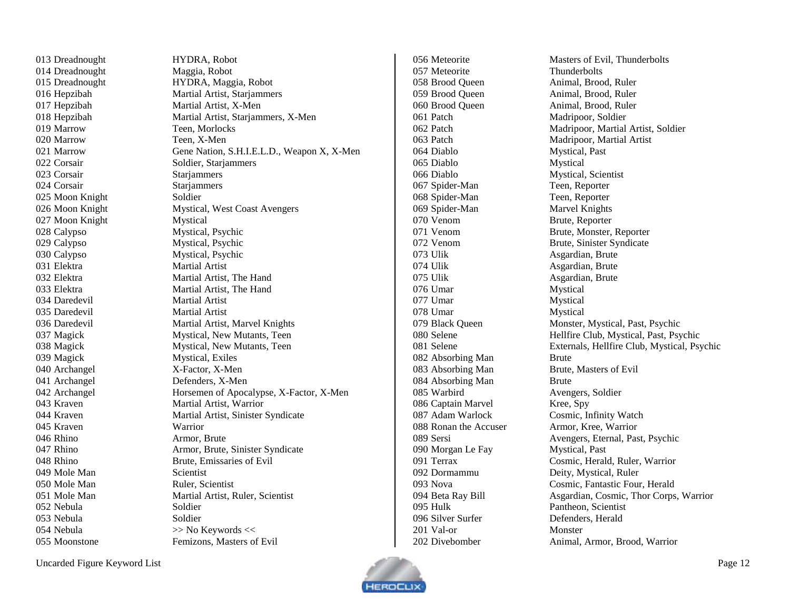| 015 Dreadnought              | HYDRA, Maggia, Robot                       | 058 Brood Queen       | Animal, Brood, Ruler                        |
|------------------------------|--------------------------------------------|-----------------------|---------------------------------------------|
| 016 Hepzibah                 | Martial Artist, Starjammers                | 059 Brood Queen       | Animal, Brood, Ruler                        |
| 017 Hepzibah                 | Martial Artist, X-Men                      | 060 Brood Queen       | Animal, Brood, Ruler                        |
| 018 Hepzibah                 | Martial Artist, Starjammers, X-Men         | 061 Patch             | Madripoor, Soldier                          |
| 019 Marrow                   | Teen, Morlocks                             | 062 Patch             | Madripoor, Martial Artist, Soldier          |
| 020 Marrow                   | Teen, X-Men                                | 063 Patch             | Madripoor, Martial Artist                   |
| 021 Marrow                   | Gene Nation, S.H.I.E.L.D., Weapon X, X-Men | 064 Diablo            | Mystical, Past                              |
| 022 Corsair                  | Soldier, Starjammers                       | 065 Diablo            | Mystical                                    |
| 023 Corsair                  | Starjammers                                | 066 Diablo            | Mystical, Scientist                         |
| 024 Corsair                  | Starjammers                                | 067 Spider-Man        | Teen, Reporter                              |
| 025 Moon Knight              | Soldier                                    | 068 Spider-Man        | Teen, Reporter                              |
| 026 Moon Knight              | <b>Mystical, West Coast Avengers</b>       | 069 Spider-Man        | Marvel Knights                              |
| 027 Moon Knight              | Mystical                                   | 070 Venom             | Brute, Reporter                             |
| 028 Calypso                  | Mystical, Psychic                          | 071 Venom             | Brute, Monster, Reporter                    |
| 029 Calypso                  | Mystical, Psychic                          | 072 Venom             | Brute, Sinister Syndicate                   |
| 030 Calypso                  | Mystical, Psychic                          | 073 Ulik              | Asgardian, Brute                            |
| 031 Elektra                  | <b>Martial Artist</b>                      | 074 Ulik              | Asgardian, Brute                            |
| 032 Elektra                  | Martial Artist, The Hand                   | 075 Ulik              | Asgardian, Brute                            |
| 033 Elektra                  | Martial Artist, The Hand                   | 076 Umar              | Mystical                                    |
| 034 Daredevil                | <b>Martial Artist</b>                      | 077 Umar              | Mystical                                    |
| 035 Daredevil                | Martial Artist                             | 078 Umar              | Mystical                                    |
| 036 Daredevil                | Martial Artist, Marvel Knights             | 079 Black Queen       | Monster, Mystical, Past, Psychic            |
| 037 Magick                   | Mystical, New Mutants, Teen                | 080 Selene            | Hellfire Club, Mystical, Past, Psychic      |
| 038 Magick                   | Mystical, New Mutants, Teen                | 081 Selene            | Externals, Hellfire Club, Mystical, Psychic |
| 039 Magick                   | Mystical, Exiles                           | 082 Absorbing Man     | <b>Brute</b>                                |
| 040 Archangel                | X-Factor, X-Men                            | 083 Absorbing Man     | Brute, Masters of Evil                      |
| 041 Archangel                | Defenders, X-Men                           | 084 Absorbing Man     | <b>Brute</b>                                |
| 042 Archangel                | Horsemen of Apocalypse, X-Factor, X-Men    | 085 Warbird           | Avengers, Soldier                           |
| 043 Kraven                   | Martial Artist, Warrior                    | 086 Captain Marvel    | Kree, Spy                                   |
| 044 Kraven                   | Martial Artist, Sinister Syndicate         | 087 Adam Warlock      | Cosmic, Infinity Watch                      |
| 045 Kraven                   | Warrior                                    | 088 Ronan the Accuser | Armor, Kree, Warrior                        |
| 046 Rhino                    | Armor, Brute                               | 089 Sersi             | Avengers, Eternal, Past, Psychic            |
| 047 Rhino                    | Armor, Brute, Sinister Syndicate           | 090 Morgan Le Fay     | Mystical, Past                              |
| 048 Rhino                    | Brute, Emissaries of Evil                  | 091 Terrax            | Cosmic, Herald, Ruler, Warrior              |
| 049 Mole Man                 | Scientist                                  | 092 Dormammu          | Deity, Mystical, Ruler                      |
| 050 Mole Man                 | Ruler, Scientist                           | 093 Nova              | Cosmic, Fantastic Four, Herald              |
| 051 Mole Man                 | Martial Artist, Ruler, Scientist           | 094 Beta Ray Bill     | Asgardian, Cosmic, Thor Corps, Warrior      |
| 052 Nebula                   | Soldier                                    | 095 Hulk              | Pantheon, Scientist                         |
| 053 Nebula                   | Soldier                                    | 096 Silver Surfer     | Defenders, Herald                           |
| 054 Nebula                   | >> No Keywords <<                          | 201 Val-or            | Monster                                     |
| 055 Moonstone                | Femizons, Masters of Evil                  | 202 Divebomber        | Animal, Armor, Brood, Warrior               |
| Uncarded Figure Keyword List |                                            |                       | Page 12                                     |
|                              |                                            |                       |                                             |

 Dreadnought HYDRA, Robot 014 Dreadnought Maggia, Robot

 Meteorite Thunderbolts Brood Queen Animal, Brood, Ruler Brood Queen Animal, Brood, Ruler Brood Queen Animal, Brood, Ruler 061 Patch Madripoor, Soldier 064 Diablo Mystical, Past<br>065 Diablo Mystical Diablo Diablo Mystical, Scientist Spider-Man Teen, Reporter Spider-Man Teen, Reporter Spider-Man Marvel Knights Venom Brute, Reporter Ulik Asgardian, Brute Ulik Asgardian, Brute Ulik Asgardian, Brute 076 Umar Mystical 077 Umar Mystical 078 Umar Mystical 082 Absorbing Man Brute Absorbing Man Brute, Masters of Evil 084 Absorbing Man Brute Warbird Avengers, Soldier Captain Marvel Kree, Spy 088 Ronan the Accuser **Armor**, Kree, Warrior 090 Morgan Le Fay Mystical, Past Dormammu Deity, Mystical, Ruler Hulk Pantheon, Scientist Silver Surfer Defenders, Herald Val-or Monster

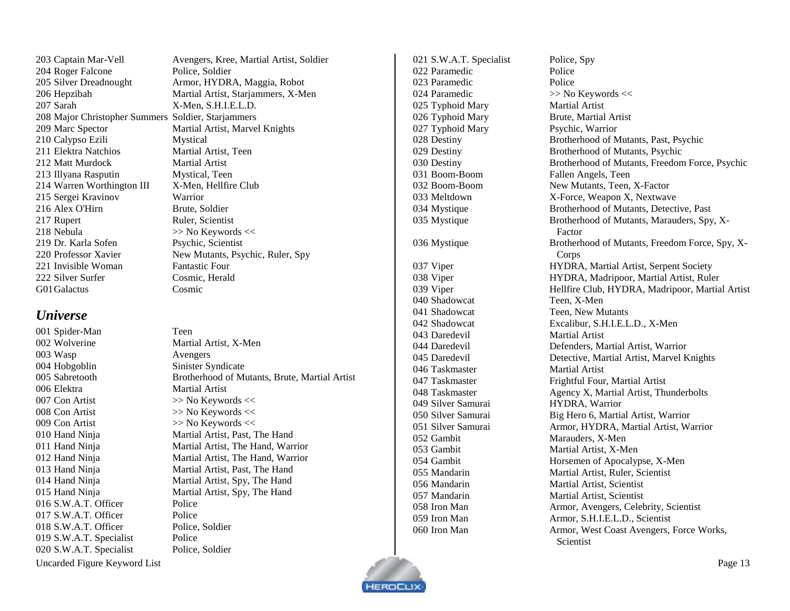Uncarded Figure Keyword List Page 13

203 Captain Mar-Vell Avengers, Kree, Martial Artist, Soldier 204 Roger Falcone Police, Soldier Silver Dreadnought Armor, HYDRA, Maggia, Robot Hepzibah Martial Artist, Starjammers, X-Men Sarah X-Men, S.H.I.E.L.D. Major Christopher Summers Soldier, Starjammers Marc Spector Martial Artist, Marvel Knights Calypso Ezili Mystical Elektra Natchios Martial Artist, Teen 212 Matt Murdock Martial Artist Illyana Rasputin Mystical, Teen Warren Worthington III X-Men, Hellfire Club Sergei Kravinov Warrior 216 Alex O'Hirn Brute, Soldier 217 Rupert Ruler, Scientist Nebula >> No Keywords << Dr. Karla Sofen Psychic, Scientist 220 Professor Xavier New Mutants, Psychic, Ruler, Spy 221 Invisible Woman Fantastic Four Silver Surfer Cosmic, Herald G01Galactus Cosmic

#### <span id="page-12-0"></span>*Universe*

 Spider-Man Teen Wolverine Martial Artist, X-Men Wasp Avengers Hobgoblin Sinister Syndicate Sabretooth Brotherhood of Mutants, Brute, Martial Artist Elektra Martial Artist 007 Con Artist  $\gg$  No Keywords  $\ll$ 008 Con Artist >> No Keywords << 009 Con Artist >> No Keywords << Hand Ninja Martial Artist, Past, The Hand Hand Ninja Martial Artist, The Hand, Warrior Hand Ninja Martial Artist, The Hand, Warrior Hand Ninja Martial Artist, Past, The Hand Hand Ninja Martial Artist, Spy, The Hand Hand Ninja Martial Artist, Spy, The Hand 016 S.W.A.T. Officer Police S.W.A.T. Officer Police S.W.A.T. Officer Police, Soldier 019 S.W.A.T. Specialist Police S.W.A.T. Specialist Police, Soldier

022 Paramedic Police 023 Paramedic Police Typhoid Mary Martial Artist Typhoid Mary Psychic, Warrior Shadowcat Teen, X-Men Daredevil Martial Artist 046 Taskmaster Martial Artist Silver Samurai HYDRA, Warrior

021 S.W.A.T. Specialist Police, Spy 024 Paramedic  $\gg$  No Keywords << Typhoid Mary Brute, Martial Artist Destiny Brotherhood of Mutants, Past, Psychic Destiny Brotherhood of Mutants, Psychic Destiny Brotherhood of Mutants, Freedom Force, Psychic Boom-Boom Fallen Angels, Teen 032 Boom-Boom New Mutants, Teen, X-Factor 033 Meltdown X-Force, Weapon X, Nextwave Mystique Brotherhood of Mutants, Detective, Past Mystique Brotherhood of Mutants, Marauders, Spy, X-Factor Mystique Brotherhood of Mutants, Freedom Force, Spy, X-Corps Viper HYDRA, Martial Artist, Serpent Society Viper HYDRA, Madripoor, Martial Artist, Ruler Viper Hellfire Club, HYDRA, Madripoor, Martial Artist Shadowcat Teen, New Mutants Shadowcat Excalibur, S.H.I.E.L.D., X-Men Daredevil Defenders, Martial Artist, Warrior Daredevil Detective, Martial Artist, Marvel Knights 047 Taskmaster Frightful Four, Martial Artist 048 Taskmaster Agency X, Martial Artist, Thunderbolts Silver Samurai Big Hero 6, Martial Artist, Warrior Silver Samurai Armor, HYDRA, Martial Artist, Warrior Gambit Marauders, X-Men Gambit Martial Artist, X-Men Gambit Horsemen of Apocalypse, X-Men Mandarin Martial Artist, Ruler, Scientist Mandarin Martial Artist, Scientist Mandarin Martial Artist, Scientist Iron Man Armor, Avengers, Celebrity, Scientist Iron Man Armor, S.H.I.E.L.D., Scientist Iron Man Armor, West Coast Avengers, Force Works, **Scientist** 

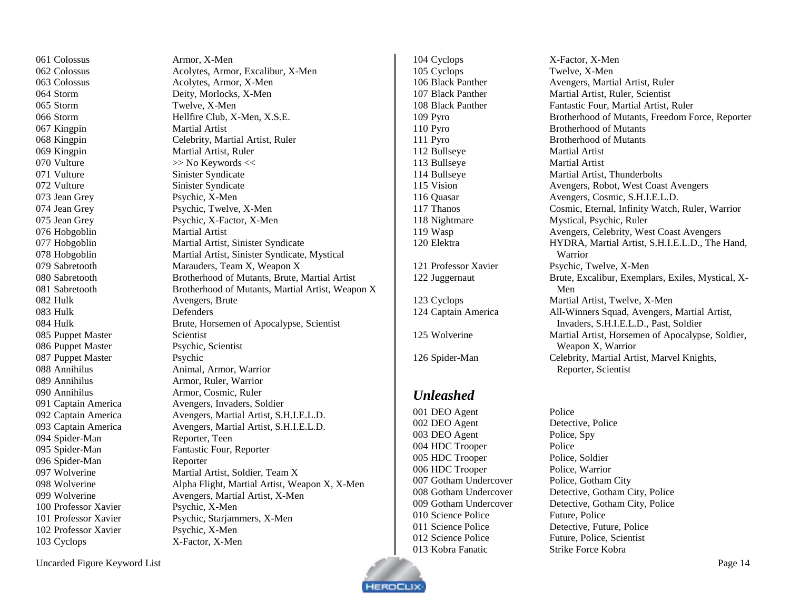062 Colossus Acolytes, Armor, Excalibur, X-Men 063 Colossus Acolytes, Armor, X-Men Storm Deity, Morlocks, X-Men Storm Hellfire Club, X-Men, X.S.E. Kingpin Celebrity, Martial Artist, Ruler Jean Grey Psychic, Twelve, X-Men Jean Grey Psychic, X-Factor, X-Men Hobgoblin Martial Artist, Sinister Syndicate Hobgoblin Martial Artist, Sinister Syndicate, Mystical Sabretooth Marauders, Team X, Weapon X Sabretooth Brotherhood of Mutants, Brute, Martial Artist Sabretooth Brotherhood of Mutants, Martial Artist, Weapon X Hulk Brute, Horsemen of Apocalypse, Scientist 088 Annihilus **Animal, Armor, Warrior**  Annihilus Armor, Ruler, Warrior Annihilus Armor, Cosmic, Ruler Captain America Avengers, Invaders, Soldier 092 Captain America Avengers, Martial Artist, S.H.I.E.L.D. Captain America Avengers, Martial Artist, S.H.I.E.L.D. Spider-Man Fantastic Four, Reporter Wolverine Martial Artist, Soldier, Team X Wolverine Alpha Flight, Martial Artist, Weapon X, X-Men Wolverine Avengers, Martial Artist, X-Men Professor Xavier Psychic, Starjammers, X-Men

 Cyclops X-Factor, X-Men Cyclops Twelve, X-Men Bullseye Martial Artist Bullseye Martial Artist

## <span id="page-13-0"></span>*Unleashed*

001 DEO Agent Police DEO Agent Detective, Police 003 DEO Agent Police, Spy 004 HDC Trooper Police HDC Trooper Police, Soldier 006 HDC Trooper Police, Warrior Gotham Undercover Police, Gotham City 010 Science Police Future, Police Kobra Fanatic Strike Force Kobra

106 Black Panther Avengers, Martial Artist, Ruler Black Panther Martial Artist, Ruler, Scientist 108 Black Panther Fantastic Four, Martial Artist, Ruler Pyro Brotherhood of Mutants, Freedom Force, Reporter Pyro Brotherhood of Mutants Pyro Brotherhood of Mutants Bullseye Martial Artist, Thunderbolts Vision Avengers, Robot, West Coast Avengers 116 Quasar Avengers, Cosmic, S.H.I.E.L.D. Thanos Cosmic, Eternal, Infinity Watch, Ruler, Warrior Nightmare Mystical, Psychic, Ruler Wasp Avengers, Celebrity, West Coast Avengers Elektra HYDRA, Martial Artist, S.H.I.E.L.D., The Hand, Warrior Professor Xavier Psychic, Twelve, X-Men Juggernaut Brute, Excalibur, Exemplars, Exiles, Mystical, X-Men Cyclops Martial Artist, Twelve, X-Men Captain America All-Winners Squad, Avengers, Martial Artist, Invaders, S.H.I.E.L.D., Past, Soldier Wolverine Martial Artist, Horsemen of Apocalypse, Soldier, Weapon X, Warrior Spider-Man Celebrity, Martial Artist, Marvel Knights, Reporter, Scientist

 Gotham Undercover Detective, Gotham City, Police Gotham Undercover Detective, Gotham City, Police Science Police Detective, Future, Police Science Police Future, Police, Scientist



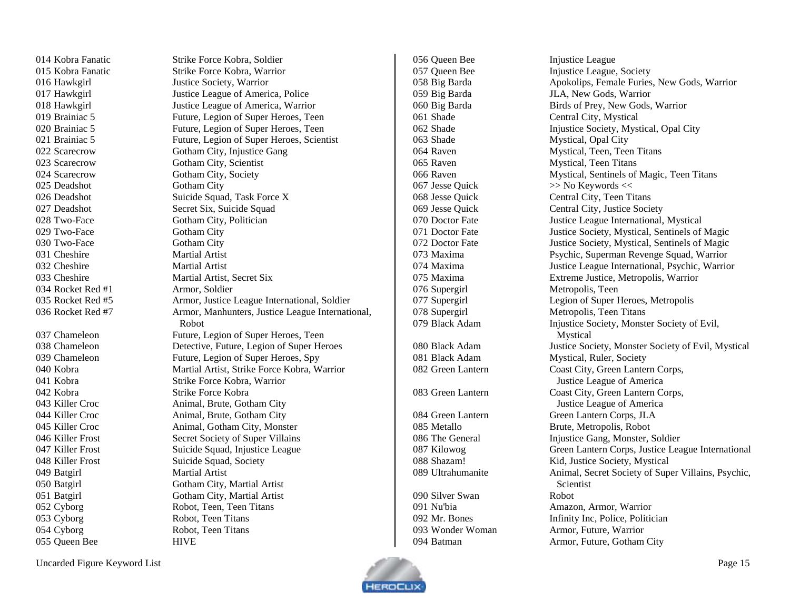Kobra Fanatic Strike Force Kobra, Soldier Kobra Fanatic Strike Force Kobra, Warrior Hawkgirl Justice Society, Warrior Hawkgirl Justice League of America, Police Hawkgirl Justice League of America, Warrior Brainiac 5 Future, Legion of Super Heroes, Teen Scarecrow Gotham City, Injustice Gang Scarecrow Gotham City, Scientist Scarecrow Gotham City, Society 025 Deadshot Gotham City 026 Deadshot Suicide Squad, Task Force X 027 Deadshot Secret Six, Suicide Squad 028 Two-Face Gotham City, Politician 029 Two-Face Gotham City 030 Two-Face Gotham City 031 Cheshire Martial Artist 032 Cheshire Martial Artist 033 Cheshire Martial Artist, Secret Six Rocket Red #1 Armor, Soldier 039 Chameleon Future, Legion of Super Heroes, Spy Kobra Strike Force Kobra, Warrior Kobra Strike Force Kobra Killer Croc Animal, Brute, Gotham City Killer Croc Animal, Brute, Gotham City Killer Croc Animal, Gotham City, Monster Killer Frost Secret Society of Super Villains 047 Killer Frost Suicide Squad, Injustice League 048 Killer Frost Suicide Squad, Society Batgirl Martial Artist Batgirl Gotham City, Martial Artist Batgirl Gotham City, Martial Artist Cyborg Robot, Teen, Teen Titans Cyborg Robot, Teen Titans Cyborg Robot, Teen Titans Queen Bee HIVE

 Brainiac 5 Future, Legion of Super Heroes, Teen Brainiac 5 Future, Legion of Super Heroes, Scientist Rocket Red #5 Armor, Justice League International, Soldier 036 Rocket Red #7 Armor, Manhunters, Justice League International, Robot 037 Chameleon Future, Legion of Super Heroes, Teen Chameleon Detective, Future, Legion of Super Heroes Kobra Martial Artist, Strike Force Kobra, Warrior

Silver Swan Robot

056 Queen Bee Injustice League 057 Oueen Bee Injustice League, Society Big Barda Apokolips, Female Furies, New Gods, Warrior Big Barda JLA, New Gods, Warrior Big Barda Birds of Prey, New Gods, Warrior Shade Central City, Mystical Shade Injustice Society, Mystical, Opal City Shade Mystical, Opal City Raven Mystical, Teen, Teen Titans 065 Raven Mystical, Teen Titans Raven Mystical, Sentinels of Magic, Teen Titans 067 Jesse Quick  $\gg$  No Keywords << Jesse Quick Central City, Teen Titans Jesse Quick Central City, Justice Society Doctor Fate Justice League International, Mystical 071 Doctor Fate Justice Society, Mystical, Sentinels of Magic Doctor Fate Justice Society, Mystical, Sentinels of Magic Maxima Psychic, Superman Revenge Squad, Warrior Maxima Justice League International, Psychic, Warrior Maxima Extreme Justice, Metropolis, Warrior Supergirl Metropolis, Teen Supergirl Legion of Super Heroes, Metropolis Supergirl Metropolis, Teen Titans Black Adam Injustice Society, Monster Society of Evil, Mystical Black Adam Justice Society, Monster Society of Evil, Mystical Black Adam Mystical, Ruler, Society Green Lantern Coast City, Green Lantern Corps, Justice League of America Green Lantern Coast City, Green Lantern Corps, Justice League of America Green Lantern Green Lantern Corps, JLA Metallo Brute, Metropolis, Robot 086 The General Injustice Gang, Monster, Soldier Kilowog Green Lantern Corps, Justice League International Shazam! Kid, Justice Society, Mystical Ultrahumanite Animal, Secret Society of Super Villains, Psychic, **Scientist**  Nu'bia Amazon, Armor, Warrior Mr. Bones Infinity Inc, Police, Politician Wonder Woman Armor, Future, Warrior Batman Armor, Future, Gotham City

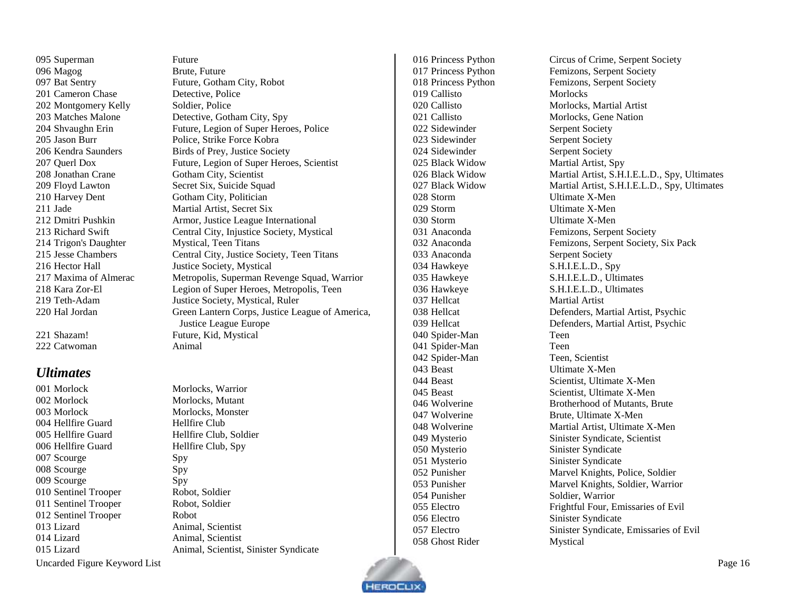Superman Future Magog Brute, Future 201 Cameron Chase **Detective**, Police 202 Montgomery Kelly Soldier, Police Trigon's Daughter Mystical, Teen Titans

222 Catwoman Animal

#### <span id="page-15-0"></span>*Ultimates*

001 Morlock Morlocks Warrior 002 Morlock Morlocks, Mutant 003 Morlock Morlocks, Monster 004 Hellfire Guard **Hellfire Club**  Hellfire Guard Hellfire Club, Soldier 006 Hellfire Guard Hellfire Club, Spy 007 Scourge Spy 008 Scourge Spy 009 Scourge Spy Sentinel Trooper Robot, Soldier Sentinel Trooper Robot, Soldier Sentinel Trooper Robot Lizard Animal, Scientist Lizard Animal, Scientist

 Bat Sentry Future, Gotham City, Robot Matches Malone Detective, Gotham City, Spy 204 Shvaughn Erin Future, Legion of Super Heroes, Police Jason Burr Police, Strike Force Kobra 206 Kendra Saunders Birds of Prey, Justice Society Querl Dox Future, Legion of Super Heroes, Scientist Jonathan Crane Gotham City, Scientist Floyd Lawton Secret Six, Suicide Squad 210 Harvey Dent Gotham City, Politician Jade Martial Artist, Secret Six Dmitri Pushkin Armor, Justice League International Richard Swift Central City, Injustice Society, Mystical Jesse Chambers Central City, Justice Society, Teen Titans 216 Hector Hall Justice Society, Mystical 217 Maxima of Almerac Metropolis, Superman Revenge Squad, Warrior Kara Zor-El Legion of Super Heroes, Metropolis, Teen Teth-Adam Justice Society, Mystical, Ruler Hal Jordan Green Lantern Corps, Justice League of America, Justice League Europe 221 Shazam! Future, Kid, Mystical

Lizard Animal, Scientist, Sinister Syndicate

 Callisto Morlocks 022 Sidewinder Serpent Society 023 Sidewinder Serpent Society 024 Sidewinder Serpent Society Black Widow Martial Artist, Spy Storm Ultimate X-Men Storm Ultimate X-Men Storm Ultimate X-Men 033 Anaconda Serpent Society Hawkeye S.H.I.E.L.D., Spy 037 Hellcat Martial Artist Spider-Man Teen Spider-Man Teen Spider-Man Teen, Scientist Beast Ultimate X-Men Mysterio Sinister Syndicate Mysterio Sinister Syndicate 054 Punisher Soldier, Warrior Electro Sinister Syndicate Ghost Rider Mystical

 Princess Python Circus of Crime, Serpent Society 017 Princess Python Femizons, Serpent Society Princess Python Femizons, Serpent Society Callisto Morlocks, Martial Artist Callisto Morlocks, Gene Nation Black Widow Martial Artist, S.H.I.E.L.D., Spy, Ultimates Black Widow Martial Artist, S.H.I.E.L.D., Spy, Ultimates Anaconda Femizons, Serpent Society Anaconda Femizons, Serpent Society, Six Pack Hawkeye S.H.I.E.L.D., Ultimates Hawkeye S.H.I.E.L.D., Ultimates Hellcat Defenders, Martial Artist, Psychic Hellcat Defenders, Martial Artist, Psychic Beast Scientist, Ultimate X-Men 045 Beast Scientist, Ultimate X-Men Wolverine Brotherhood of Mutants, Brute Wolverine Brute, Ultimate X-Men Wolverine Martial Artist, Ultimate X-Men Mysterio Sinister Syndicate, Scientist Punisher Marvel Knights, Police, Soldier Punisher Marvel Knights, Soldier, Warrior Electro Frightful Four, Emissaries of Evil Electro Sinister Syndicate, Emissaries of Evil

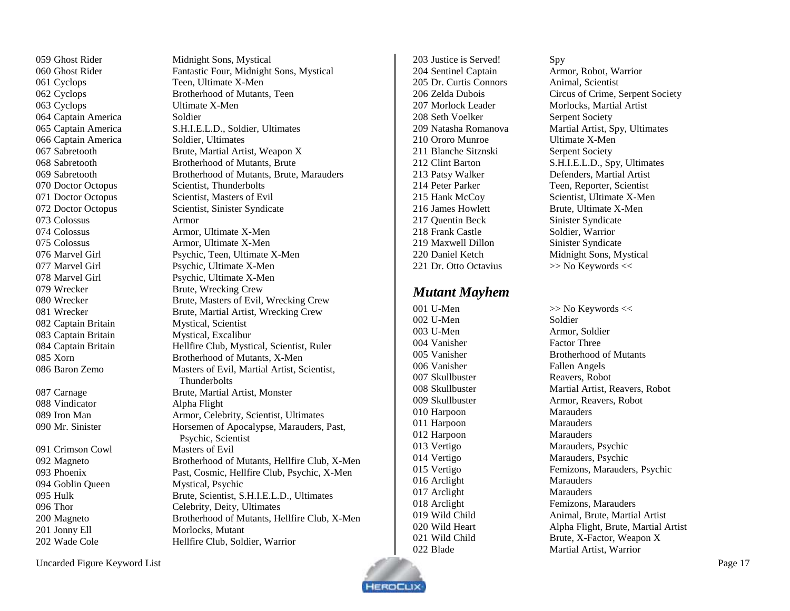Ghost Rider Midnight Sons, Mystical Cyclops Teen, Ultimate X-Men Cyclops Ultimate X-Men 064 Captain America Soldier Captain America Soldier, Ultimates 070 Doctor Octopus Scientist, Thunderbolts Colossus Armor Wrecker Brute, Wrecking Crew 082 Captain Britain Mystical, Scientist Captain Britain Mystical, Excalibur Vindicator Alpha Flight Crimson Cowl Masters of Evil

 Ghost Rider Fantastic Four, Midnight Sons, Mystical Cyclops Brotherhood of Mutants, Teen Captain America S.H.I.E.L.D., Soldier, Ultimates Sabretooth Brute, Martial Artist, Weapon X Sabretooth Brotherhood of Mutants, Brute Sabretooth Brotherhood of Mutants, Brute, Marauders 071 Doctor Octopus Scientist, Masters of Evil 072 Doctor Octopus Scientist, Sinister Syndicate Colossus Armor, Ultimate X-Men Colossus Armor, Ultimate X-Men Marvel Girl Psychic, Teen, Ultimate X-Men Marvel Girl Psychic, Ultimate X-Men Marvel Girl Psychic, Ultimate X-Men Wrecker Brute, Masters of Evil, Wrecking Crew Wrecker Brute, Martial Artist, Wrecking Crew 084 Captain Britain Hellfire Club, Mystical, Scientist, Ruler Xorn Brotherhood of Mutants, X-Men Baron Zemo Masters of Evil, Martial Artist, Scientist, **Thunderbolts** 087 Carnage Brute, Martial Artist, Monster Iron Man Armor, Celebrity, Scientist, Ultimates Mr. Sinister Horsemen of Apocalypse, Marauders, Past, Psychic, Scientist Magneto Brotherhood of Mutants, Hellfire Club, X-Men Phoenix Past, Cosmic, Hellfire Club, Psychic, X-Men Goblin Queen Mystical, Psychic Hulk Brute, Scientist, S.H.I.E.L.D., Ultimates Thor Celebrity, Deity, Ultimates Magneto Brotherhood of Mutants, Hellfire Club, X-Men 201 Jonny Ell Morlocks, Mutant Wade Cole Hellfire Club, Soldier, Warrior

 Justice is Served! Spy Sentinel Captain Armor, Robot, Warrior Dr. Curtis Connors Animal, Scientist Morlock Leader Morlocks, Martial Artist 208 Seth Voelker Serpent Society Ororo Munroe Ultimate X-Men 211 Blanche Sitznski<br>
Serpent Society 216 James Howlett Brute, Ultimate X-Men 217 Ouentin Beck Sinister Syndicate 218 Frank Castle Soldier, Warrior 219 Maxwell Dillon Sinister Syndicate 221 Dr. Otto Octavius >> No Keywords <<

#### <span id="page-16-0"></span>*Mutant Mayhem*

002 U-Men Soldier 003 U-Men Armor, Soldier Vanisher Factor Three Vanisher Fallen Angels 007 Skullbuster Reavers, Robot Harpoon Marauders Harpoon Marauders Harpoon Marauders 016 Arclight Marauders 017 Arclight Marauders

 Zelda Dubois Circus of Crime, Serpent Society Natasha Romanova Martial Artist, Spy, Ultimates Clint Barton S.H.I.E.L.D., Spy, Ultimates Patsy Walker Defenders, Martial Artist Peter Parker Teen, Reporter, Scientist Hank McCoy Scientist, Ultimate X-Men Daniel Ketch Midnight Sons, Mystical

001 U-Men  $\gg$  No Keywords  $\ll$  Vanisher Brotherhood of Mutants Skullbuster Martial Artist, Reavers, Robot Skullbuster Armor, Reavers, Robot Vertigo Marauders, Psychic Vertigo Marauders, Psychic Vertigo Femizons, Marauders, Psychic 018 Arclight Femizons, Marauders 019 Wild Child **Animal, Brute, Martial Artist**  Wild Heart Alpha Flight, Brute, Martial Artist 021 Wild Child Brute, X-Factor, Weapon X Blade Martial Artist, Warrior

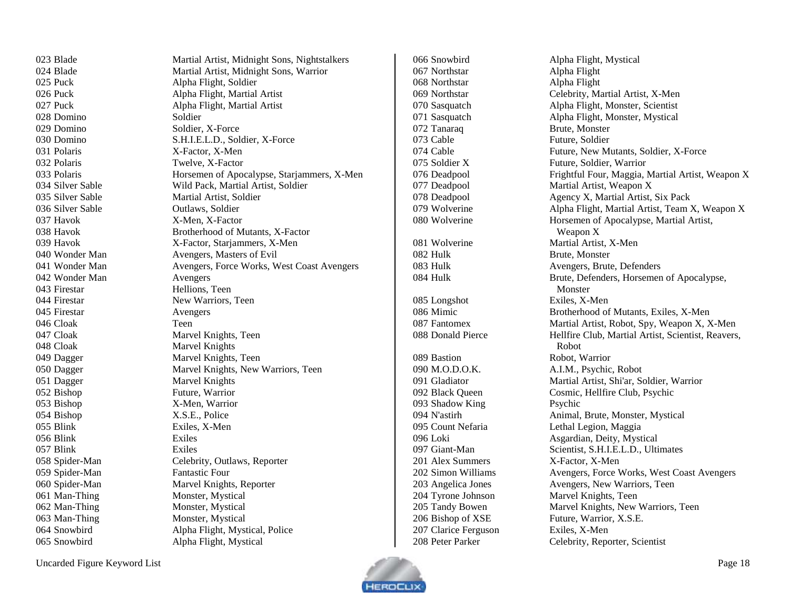Puck Alpha Flight, Soldier Domino Soldier 029 Domino Soldier, X-Force 031 Polaris X-Factor, X-Men Polaris Twelve, X-Factor Silver Sable Outlaws, Soldier 037 Havok X-Men, X-Factor 042 Wonder Man Avengers Firestar Hellions, Teen 044 Firestar New Warriors, Teen Firestar Avengers Cloak Teen 048 Cloak Marvel Knights 051 Dagger Marvel Knights Bishop Future, Warrior Bishop X-Men, Warrior Bishop X.S.E., Police Blink Exiles, X-Men Blink Exiles Blink Exiles Spider-Man Fantastic Four 061 Man-Thing Monster, Mystical 062 Man-Thing Monster, Mystical 063 Man-Thing Monster, Mystical

 Blade Martial Artist, Midnight Sons, Nightstalkers Blade Martial Artist, Midnight Sons, Warrior Puck Alpha Flight, Martial Artist Puck Alpha Flight, Martial Artist Domino S.H.I.E.L.D., Soldier, X-Force Polaris Horsemen of Apocalypse, Starjammers, X-Men Silver Sable Wild Pack, Martial Artist, Soldier Silver Sable Martial Artist, Soldier Havok Brotherhood of Mutants, X-Factor Havok X-Factor, Starjammers, X-Men Wonder Man Avengers, Masters of Evil Wonder Man Avengers, Force Works, West Coast Avengers Cloak Marvel Knights, Teen Dagger Marvel Knights, Teen Dagger Marvel Knights, New Warriors, Teen Spider-Man Celebrity, Outlaws, Reporter 060 Spider-Man Marvel Knights, Reporter Snowbird Alpha Flight, Mystical, Police Snowbird Alpha Flight, Mystical

 Northstar Alpha Flight Northstar Alpha Flight Tanaraq Brute, Monster Cable Future, Soldier 082 Hulk Brute, Monster Longshot Exiles, X-Men Bastion Robot, Warrior 093 Shadow King Psychic 201 Alex Summers X-Factor, X-Men Clarice Ferguson Exiles, X-Men

 Snowbird Alpha Flight, Mystical Northstar Celebrity, Martial Artist, X-Men Sasquatch Alpha Flight, Monster, Scientist Sasquatch Alpha Flight, Monster, Mystical Cable Future, New Mutants, Soldier, X-Force Soldier X Future, Soldier, Warrior 076 Deadpool Frightful Four, Maggia, Martial Artist, Weapon X Deadpool Martial Artist, Weapon X 078 Deadpool Agency X, Martial Artist, Six Pack Wolverine Alpha Flight, Martial Artist, Team X, Weapon X Wolverine Horsemen of Apocalypse, Martial Artist, Weapon X Wolverine Martial Artist, X-Men Hulk Avengers, Brute, Defenders Hulk Brute, Defenders, Horsemen of Apocalypse, Monster Mimic Brotherhood of Mutants, Exiles, X-Men Fantomex Martial Artist, Robot, Spy, Weapon X, X-Men Donald Pierce Hellfire Club, Martial Artist, Scientist, Reavers, Robot 090 M.O.D.O.K. A.I.M., Psychic, Robot Gladiator Martial Artist, Shi'ar, Soldier, Warrior Black Queen Cosmic, Hellfire Club, Psychic N'astirh Animal, Brute, Monster, Mystical Count Nefaria Lethal Legion, Maggia Loki Asgardian, Deity, Mystical Giant-Man Scientist, S.H.I.E.L.D., Ultimates Simon Williams Avengers, Force Works, West Coast Avengers Angelica Jones Avengers, New Warriors, Teen Tyrone Johnson Marvel Knights, Teen Tandy Bowen Marvel Knights, New Warriors, Teen 206 Bishop of XSE Future, Warrior, X.S.E. Peter Parker Celebrity, Reporter, Scientist

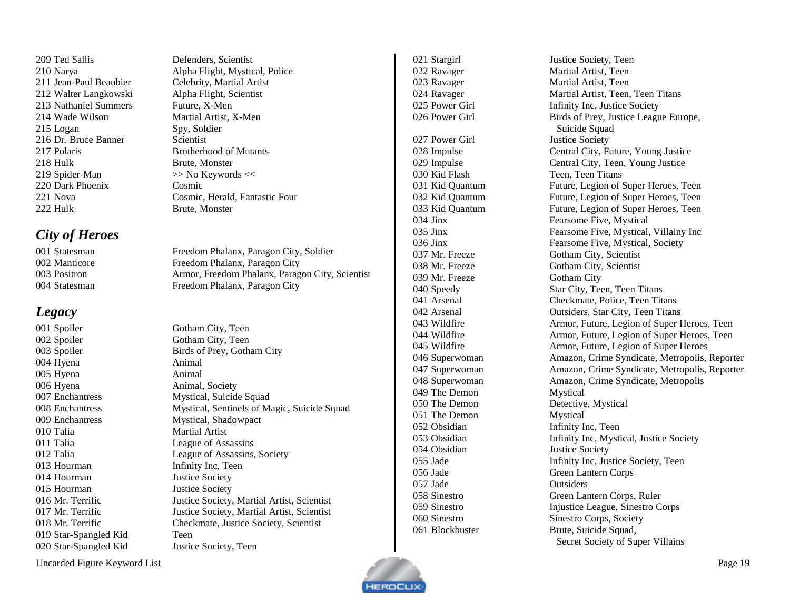Ted Sallis Defenders, Scientist Walter Langkowski Alpha Flight, Scientist 213 Nathaniel Summers Future, X-Men 214 Wade Wilson Martial Artist, X-Men Logan Spy, Soldier 216 Dr. Bruce Banner Scientist Polaris Brotherhood of Mutants 218 Hulk Brute, Monster 219 Spider-Man  $\gg$  No Keywords << Dark Phoenix Cosmic 222 Hulk Brute, Monster

## <span id="page-18-0"></span>*City of Heroes*

## <span id="page-18-1"></span>*Legacy*

002 Spoiler Gotham City, Teen Hyena Animal Hyena Animal Hyena Animal, Society 010 Talia Martial Artist Talia League of Assassins 013 Hourman Infinity Inc, Teen 014 Hourman Justice Society 015 Hourman Justice Society Star-Spangled Kid Teen Star-Spangled Kid Justice Society, Teen

 Narya Alpha Flight, Mystical, Police Jean-Paul Beaubier Celebrity, Martial Artist Nova Cosmic, Herald, Fantastic Four

 Statesman Freedom Phalanx, Paragon City, Soldier Manticore Freedom Phalanx, Paragon City Positron Armor, Freedom Phalanx, Paragon City, Scientist Statesman Freedom Phalanx, Paragon City

001 Spoiler Gotham City, Teen Spoiler Birds of Prey, Gotham City Enchantress Mystical, Suicide Squad Enchantress Mystical, Sentinels of Magic, Suicide Squad Enchantress Mystical, Shadowpact Talia League of Assassins, Society Mr. Terrific Justice Society, Martial Artist, Scientist 017 Mr. Terrific Justice Society, Martial Artist, Scientist Mr. Terrific Checkmate, Justice Society, Scientist

027 Power Girl Justice Society Kid Flash Teen, Teen Titans 039 Mr. Freeze Gotham City 049 The Demon Mystical 051 The Demon Mystical Obsidian Infinity Inc, Teen Obsidian Justice Society Jade Outsiders

 Stargirl Justice Society, Teen Ravager Martial Artist, Teen Ravager Martial Artist, Teen Ravager Martial Artist, Teen, Teen Titans 025 Power Girl Infinity Inc, Justice Society 026 Power Girl Birds of Prey, Justice League Europe, Suicide Squad Impulse Central City, Future, Young Justice Impulse Central City, Teen, Young Justice Kid Quantum Future, Legion of Super Heroes, Teen Kid Quantum Future, Legion of Super Heroes, Teen Kid Quantum Future, Legion of Super Heroes, Teen Jinx Fearsome Five, Mystical Jinx Fearsome Five, Mystical, Villainy Inc Jinx Fearsome Five, Mystical, Society Mr. Freeze Gotham City, Scientist Mr. Freeze Gotham City, Scientist Speedy Star City, Teen, Teen Titans Arsenal Checkmate, Police, Teen Titans Arsenal Outsiders, Star City, Teen Titans Wildfire Armor, Future, Legion of Super Heroes, Teen Wildfire Armor, Future, Legion of Super Heroes, Teen Wildfire Armor, Future, Legion of Super Heroes Superwoman Amazon, Crime Syndicate, Metropolis, Reporter Superwoman Amazon, Crime Syndicate, Metropolis, Reporter Superwoman Amazon, Crime Syndicate, Metropolis 050 The Demon Detective, Mystical Obsidian Infinity Inc, Mystical, Justice Society Jade Infinity Inc, Justice Society, Teen Jade Green Lantern Corps Sinestro Green Lantern Corps, Ruler Sinestro Injustice League, Sinestro Corps Sinestro Sinestro Corps, Society Blockbuster Brute, Suicide Squad, Secret Society of Super Villains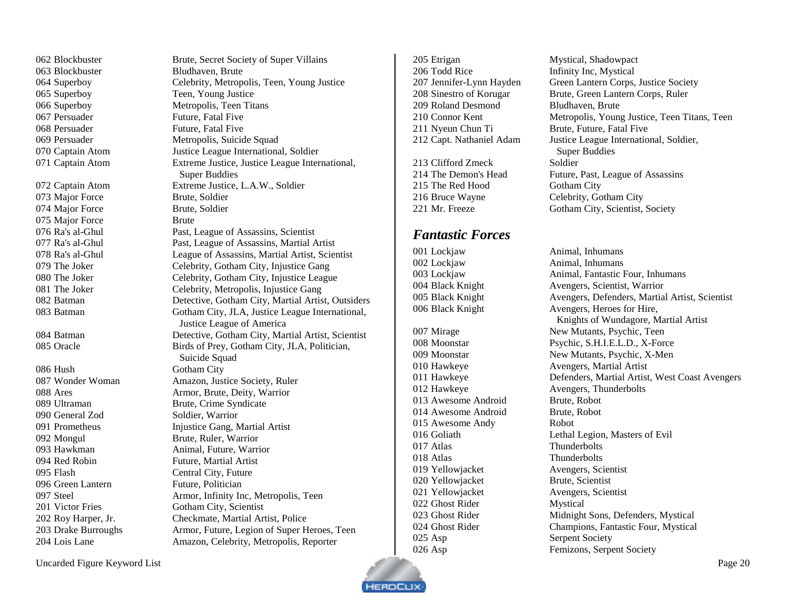Blockbuster Brute, Secret Society of Super Villains Blockbuster Bludhaven, Brute Superboy Celebrity, Metropolis, Teen, Young Justice Superboy Teen, Young Justice Superboy Metropolis, Teen Titans 067 Persuader Future, Fatal Five 068 Persuader Future, Fatal Five Persuader Metropolis, Suicide Squad Captain Atom Justice League International, Soldier Captain Atom Extreme Justice, Justice League International, Super Buddies Captain Atom Extreme Justice, L.A.W., Soldier Major Force Brute, Soldier Major Force Brute, Soldier 075 Major Force Brute Ra's al-Ghul Past, League of Assassins, Scientist Ra's al-Ghul Past, League of Assassins, Martial Artist Ra's al-Ghul League of Assassins, Martial Artist, Scientist 079 The Joker Celebrity, Gotham City, Injustice Gang 080 The Joker Celebrity, Gotham City, Injustice League 081 The Joker Celebrity, Metropolis, Injustice Gang Batman Detective, Gotham City, Martial Artist, Outsiders Batman Gotham City, JLA, Justice League International, Justice League of America Batman Detective, Gotham City, Martial Artist, Scientist 085 Oracle Birds of Prey, Gotham City, JLA, Politician, Suicide Squad 086 Hush Gotham City Wonder Woman Amazon, Justice Society, Ruler Ares Armor, Brute, Deity, Warrior Prometheus Injustice Gang, Martial Artist Steel Armor, Infinity Inc, Metropolis, Teen Roy Harper, Jr. Checkmate, Martial Artist, Police 203 Drake Burroughs Armor, Future, Legion of Super Heroes, Teen<br>204 Lois Lane Amazon, Celebrity, Metropolis, Reporter Amazon, Celebrity, Metropolis, Reporter

205 Etrigan Mystical, Shadowpact 206 Todd Rice Infinity Inc, Mystical 209 Roland Desmond Bludhaven, Brute 211 Nyeun Chun Ti Brute, Future, Fatal Five

213 Clifford Zmeck Soldier 215 The Red Hood Gotham City 216 Bruce Wayne Celebrity, Gotham City

#### <span id="page-19-0"></span>*Fantastic Forces*

002 Lockjaw Animal, Inhumans

013 Awesome Android Brute, Robot 014 Awesome Android Brute, Robot Awesome Andy Robot Atlas Thunderbolts Atlas Thunderbolts Yellowjacket Avengers, Scientist Yellowjacket Brute, Scientist Yellowjacket Avengers, Scientist Ghost Rider Mystical 025 Asp Serpent Society

**EROCLI** 

 Jennifer-Lynn Hayden Green Lantern Corps, Justice Society Sinestro of Korugar Brute, Green Lantern Corps, Ruler Connor Kent Metropolis, Young Justice, Teen Titans, Teen Capt. Nathaniel Adam Justice League International, Soldier, Super Buddies The Demon's Head Future, Past, League of Assassins Mr. Freeze Gotham City, Scientist, Society

001 Lockjaw Animal, Inhumans 003 Lockjaw Animal, Fantastic Four, Inhumans 004 Black Knight Avengers, Scientist, Warrior 005 Black Knight Avengers, Defenders, Martial Artist, Scientist 006 Black Knight Avengers, Heroes for Hire, Knights of Wundagore, Martial Artist 007 Mirage New Mutants, Psychic, Teen 008 Moonstar Psychic, S.H.I.E.L.D., X-Force 009 Moonstar New Mutants, Psychic, X-Men 010 Hawkeye Avengers, Martial Artist 011 Hawkeye Defenders, Martial Artist, West Coast Avengers 012 Hawkeye Avengers, Thunderbolts 016 Goliath Lethal Legion, Masters of Evil 023 Ghost Rider Midnight Sons, Defenders, Mystical 024 Ghost Rider Champions, Fantastic Four, Mystical 026 Asp Femizons, Serpent Society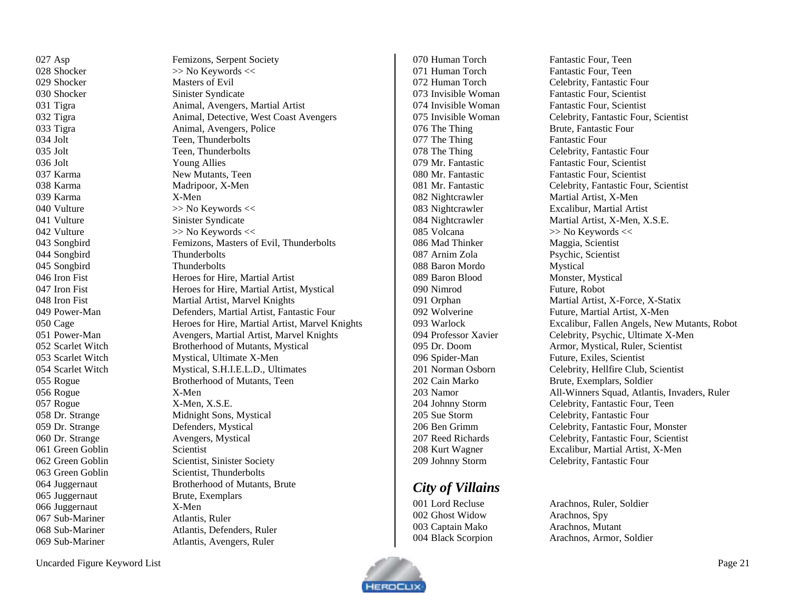| 027 Asp           | Femizons, Serpent Society                       |
|-------------------|-------------------------------------------------|
| 028 Shocker       | >> No Keywords <<                               |
| 029 Shocker       | <b>Masters of Evil</b>                          |
| 030 Shocker       | Sinister Syndicate                              |
| 031 Tigra         | Animal, Avengers, Martial Artist                |
| 032 Tigra         | Animal, Detective, West Coast Avengers          |
| 033 Tigra         | Animal, Avengers, Police                        |
| 034 Jolt          | Teen, Thunderbolts                              |
| $035$ Jolt        | Teen, Thunderbolts                              |
| $036$ Jolt        | <b>Young Allies</b>                             |
| 037 Karma         | New Mutants, Teen                               |
| 038 Karma         | Madripoor, X-Men                                |
| 039 Karma         | X-Men                                           |
| 040 Vulture       | >> No Keywords <<                               |
| 041 Vulture       | Sinister Syndicate                              |
| 042 Vulture       | >> No Keywords <<                               |
| 043 Songbird      | Femizons, Masters of Evil, Thunderbolts         |
| 044 Songbird      | Thunderbolts                                    |
| 045 Songbird      | Thunderbolts                                    |
| 046 Iron Fist     | Heroes for Hire, Martial Artist                 |
| 047 Iron Fist     | Heroes for Hire, Martial Artist, Mystical       |
| 048 Iron Fist     | Martial Artist, Marvel Knights                  |
| 049 Power-Man     | Defenders, Martial Artist, Fantastic Four       |
| 050 Cage          | Heroes for Hire, Martial Artist, Marvel Knights |
| 051 Power-Man     | Avengers, Martial Artist, Marvel Knights        |
| 052 Scarlet Witch | Brotherhood of Mutants, Mystical                |
| 053 Scarlet Witch | Mystical, Ultimate X-Men                        |
| 054 Scarlet Witch | Mystical, S.H.I.E.L.D., Ultimates               |
| 055 Rogue         | Brotherhood of Mutants, Teen                    |
| 056 Rogue         | X-Men                                           |
| 057 Rogue         | X-Men, X.S.E.                                   |
| 058 Dr. Strange   | Midnight Sons, Mystical                         |
| 059 Dr. Strange   | Defenders, Mystical                             |
| 060 Dr. Strange   | Avengers, Mystical                              |
| 061 Green Goblin  | Scientist                                       |
| 062 Green Goblin  | Scientist, Sinister Society                     |
| 063 Green Goblin  | Scientist, Thunderbolts                         |
| 064 Juggernaut    | Brotherhood of Mutants, Brute                   |
| 065 Juggernaut    | Brute, Exemplars                                |
| 066 Juggernaut    | X-Men                                           |
| 067 Sub-Mariner   | Atlantis, Ruler                                 |
| 068 Sub-Mariner   | Atlantis, Defenders, Ruler                      |
| 069 Sub-Mariner   | Atlantis, Avengers, Ruler                       |
|                   |                                                 |

071 Human Torch Fantastic Four, Teen 076 The Thing Brute, Fantastic Four 077 The Thing Fantastic Four 085 Volcana  $\gg$  No Keywords << 086 Mad Thinker Maggia, Scientist Arnim Zola Psychic, Scientist Baron Mordo Mystical Baron Blood Monster, Mystical Nimrod Future, Robot

## <span id="page-20-0"></span>*City of Villains*

 Ghost Widow Arachnos, Spy Captain Mako Arachnos, Mutant

070 Human Torch Fantastic Four, Teen Human Torch Celebrity, Fantastic Four Invisible Woman Fantastic Four, Scientist Invisible Woman Fantastic Four, Scientist Invisible Woman Celebrity, Fantastic Four, Scientist 078 The Thing Celebrity, Fantastic Four Mr. Fantastic Fantastic Four, Scientist Mr. Fantastic Fantastic Four, Scientist Mr. Fantastic Celebrity, Fantastic Four, Scientist 082 Nightcrawler Martial Artist, X-Men Nightcrawler Excalibur, Martial Artist 084 Nightcrawler Martial Artist, X-Men, X.S.E. Orphan Martial Artist, X-Force, X-Statix Wolverine Future, Martial Artist, X-Men Warlock Excalibur, Fallen Angels, New Mutants, Robot Professor Xavier Celebrity, Psychic, Ultimate X-Men Dr. Doom Armor, Mystical, Ruler, Scientist Spider-Man Future, Exiles, Scientist Norman Osborn Celebrity, Hellfire Club, Scientist Cain Marko Brute, Exemplars, Soldier Namor All-Winners Squad, Atlantis, Invaders, Ruler Johnny Storm Celebrity, Fantastic Four, Teen Sue Storm Celebrity, Fantastic Four Ben Grimm Celebrity, Fantastic Four, Monster Reed Richards Celebrity, Fantastic Four, Scientist Kurt Wagner Excalibur, Martial Artist, X-Men Johnny Storm Celebrity, Fantastic Four

 Lord Recluse Arachnos, Ruler, Soldier Black Scorpion Arachnos, Armor, Soldier

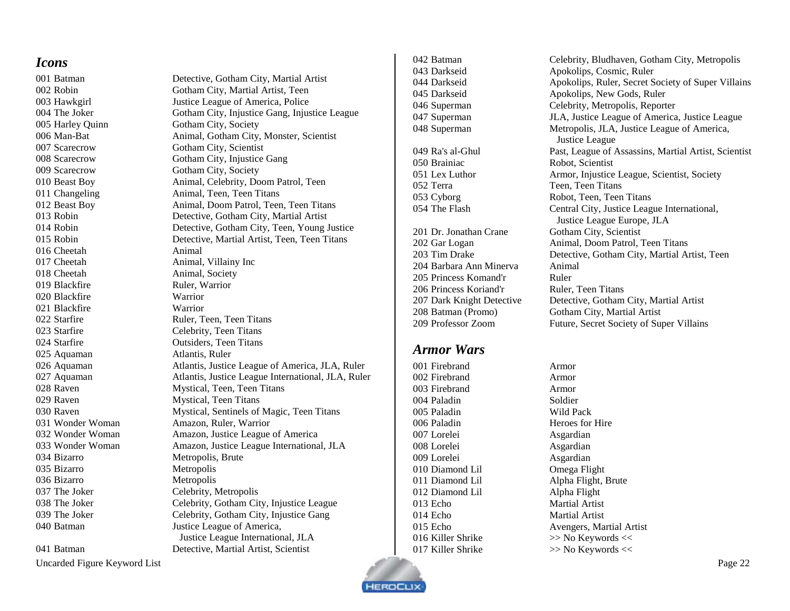#### <span id="page-21-0"></span>*Icons*

005 Harley Quinn Gotham City, Society Scarecrow Gotham City, Society Cheetah Animal 017 Cheetah Animal, Villainy Inc 018 Cheetah Animal, Society 019 Blackfire Ruler, Warrior Blackfire Warrior Blackfire Warrior Starfire Celebrity, Teen Titans 025 Aquaman Atlantis, Ruler 029 Raven Mystical, Teen Titans Bizarro Metropolis, Brute Bizarro Metropolis Bizarro Metropolis 037 The Joker Celebrity, Metropolis

Uncarded Figure Keyword List Page 22

 Batman Detective, Gotham City, Martial Artist Robin Gotham City, Martial Artist, Teen Hawkgirl Justice League of America, Police 004 The Joker Gotham City, Injustice Gang, Injustice League 006 Man-Bat Animal, Gotham City, Monster, Scientist Scarecrow Gotham City, Scientist Scarecrow Gotham City, Injustice Gang Beast Boy Animal, Celebrity, Doom Patrol, Teen Changeling Animal, Teen, Teen Titans Beast Boy Animal, Doom Patrol, Teen, Teen Titans Robin Detective, Gotham City, Martial Artist Robin Detective, Gotham City, Teen, Young Justice Robin Detective, Martial Artist, Teen, Teen Titans 022 Starfire Ruler, Teen, Teen Titans Starfire Outsiders, Teen Titans Aquaman Atlantis, Justice League of America, JLA, Ruler Aquaman Atlantis, Justice League International, JLA, Ruler 028 Raven Mystical, Teen, Teen Titans Raven Mystical, Sentinels of Magic, Teen Titans Wonder Woman Amazon, Ruler, Warrior Wonder Woman Amazon, Justice League of America Wonder Woman Amazon, Justice League International, JLA 038 The Joker Celebrity, Gotham City, Injustice League 039 The Joker Celebrity, Gotham City, Injustice Gang 040 Batman Justice League of America, Justice League International, JLA Batman Detective, Martial Artist, Scientist

 Brainiac Robot, Scientist 052 Terra Teen, Teen, Teen Titans Barbara Ann Minerva Animal 205 Princess Komand'r Ruler 206 Princess Koriand'r Ruler, Teen Titans Professor Zoom Future, Secret Society of Super Villains *Armor Wars* Firebrand Armor

<span id="page-21-1"></span> Firebrand Armor Firebrand Armor 004 Paladin Soldier Paladin Wild Pack 006 Paladin Heroes for Hire Lorelei Asgardian Lorelei Asgardian Lorelei Asgardian Diamond Lil Omega Flight Diamond Lil Alpha Flight Echo Martial Artist Echo Martial Artist

 Batman Celebrity, Bludhaven, Gotham City, Metropolis Darkseid Apokolips, Cosmic, Ruler Darkseid Apokolips, Ruler, Secret Society of Super Villains Darkseid Apokolips, New Gods, Ruler Superman Celebrity, Metropolis, Reporter Superman JLA, Justice League of America, Justice League Superman Metropolis, JLA, Justice League of America, Justice League Ra's al-Ghul Past, League of Assassins, Martial Artist, Scientist Lex Luthor Armor, Injustice League, Scientist, Society Cyborg Robot, Teen, Teen Titans The Flash Central City, Justice League International, Justice League Europe, JLA 201 Dr. Jonathan Crane Gotham City, Scientist Gar Logan Animal, Doom Patrol, Teen Titans Tim Drake Detective, Gotham City, Martial Artist, Teen Dark Knight Detective Detective, Gotham City, Martial Artist Batman (Promo) Gotham City, Martial Artist

 Diamond Lil Alpha Flight, Brute Echo Avengers, Martial Artist 016 Killer Shrike  $\gg$  No Keywords << 017 Killer Shrike >> No Keywords <<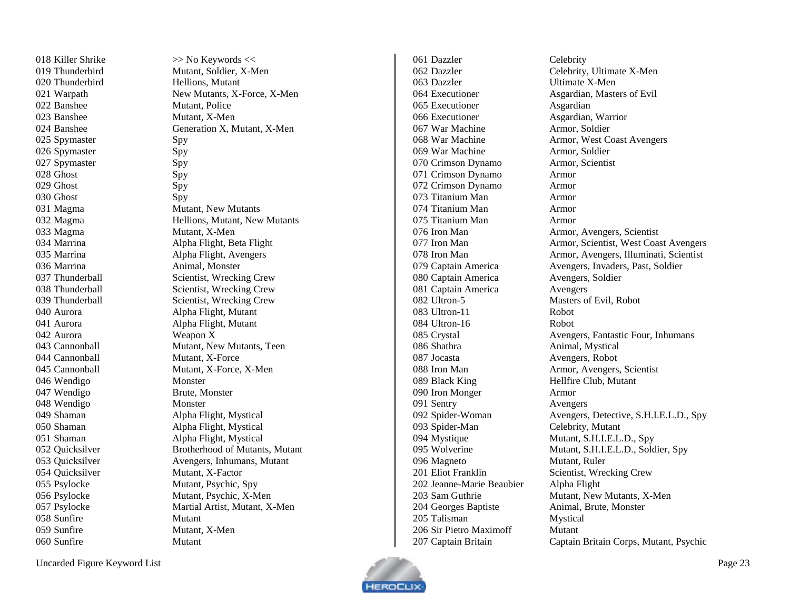018 Killer

023 Banshee

024 Banshee

033 Magma

042 Aurora

044 Cannonball

045 Cannonball

054 Quicksilver

 $059$  Sunfire

 $>>$  No Keywords  $<<$ 019 Thunderbird Mutant, Soldier, X-Men 020 Thunderbird Hellions, Mutant 021 Warpath New Mutants, X-Force, X-Men 022 Banshee Mutant, Police X -Men X, Mutant, X -Men 025 Spymaster Spy 026 Spymaster Spy 027 Spymaster Spy 028 Ghost Spy 029 Ghost Spy 030 Ghost Spy 031 Magma Mutant, New Mutants 032 Magma Hellions, Mutant, New Mutants X -Men 034 Marrina Alpha Flight, Beta Flight 035 Marrina Alpha Flight, Avengers 036 Marrina Animal, Monster 037 Thunderball Scientist, Wrecking Crew 038 Thunderball Scientist, Wrecking Crew 039 Thunderball Scientist, Wrecking Crew 040 Aurora Alpha Flight, Mutant 041 Aurora Alpha Flight, Mutant Weapon X 043 Cannonball Mutant, New Mutants, Teen X -Force X -Force, X -Men 046 Wendigo Monster 047 Wendigo Brute, Monster 048 Wendigo Monster 049 Shaman Alpha Flight, Mystical 050 Shaman Alpha Flight, Mystical 051 Shaman Alpha Flight, Mystical 052 Quicksilver Brotherhood of Mutants, Mutant 053 Quicksilver Avengers, Inhumans, Mutant X -Factor 055 Psylocke Mutant, Psychic, Spy 056 Psylocke Mutant, Psychic, X-Men 057 Psylocke Martial Artist, Mutant, X -Men 058 Sunfire Mutant X -Men 060 Sunfire Mutant

061 Dazzler Celebrity 063 Dazzler 065 Executioner Asgardian 066 Executioner Asgardian, Warrior 067 War Machine Armor, Soldier 069 War Machine Armor, Soldier 070 Crimson Dynamo Armor, Scientist 071 Crimson Dynamo Armor 072 Crimson Dynamo Armor 073 Titanium Man Armor 074 Titanium Man Armor 075 Titanium Man Armor 080 Captain America 081 Captain America Avengers 082 Ultron - 083 Ultron-11 084 Ultron 086 Shathra Animal, Mystical 087 Jocasta Avengers, Robot 089 Black King Hellfire Club, Mutant 090 Iron Monger Armor 091 Sentry Avengers 092 Spider-Woman 093 Spider-Man 096 Magneto Mutant, Ruler 201 Eliot Franklin Scientist, Wrecking Crew 202 Jeanne -Marie Beaubier Alpha Flight 204 Georges Baptiste Animal, Brute, Monster 205 Talisman Mystical 206 Sir Pietro Maximoff Mutant

062 Dazzler Celebrity, Ultimate X -Men X -Men 064 Executioner Asgardian, Masters of Evil 068 War Machine Armor, West Coast Avengers 076 Iron Man Armor, Avengers, Scientist 077 Iron Man Armor, Scientist, West Coast Avengers 078 Iron Man Armor, Avengers, Illuminati, Scientist 079 Captain America Avengers, Invaders, Past, Soldier<br>
080 Captain America Avengers, Soldier 5 Masters of Evi l, Robot Robot Robot 085 Crystal Avengers, Fantastic Four, Inhumans 088 Iron Man Armor, Avengers, Scientist Avengers, Detective, S.H.I.E.L.D., Spy Celebrity, Mutant 094 Mystique Mutant, S.H.I.E.L.D., Spy 095 Wolverine Mutant, S.H.I.E.L.D., Soldier, Spy 203 Sam Guthrie Mutant, New Mutants, X-Men 207 Captain Britain Captain Britain Corps, Mutant, Psychic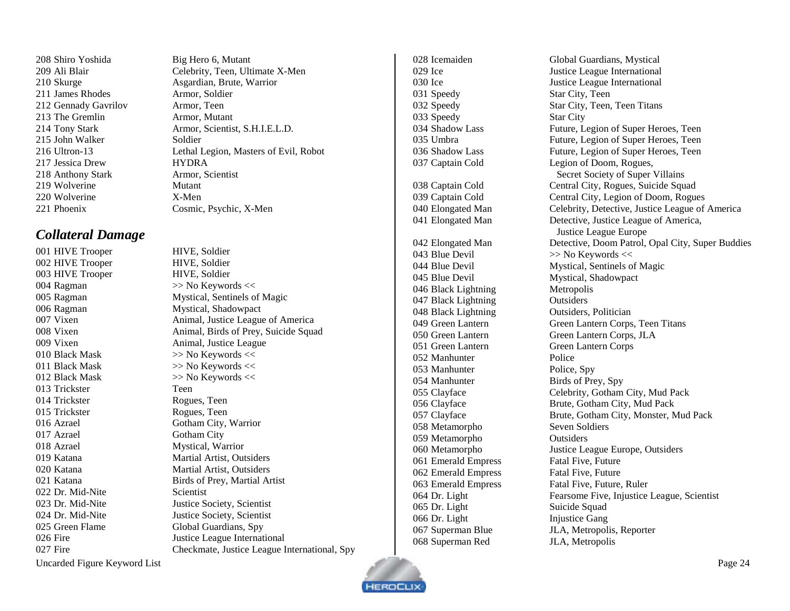208 Shiro Yoshida Big Hero 6, Mutant 211 James Rhodes Armor, Soldier 212 Gennady Gavrilov Armor, Teen 213 The Gremlin Armor, Mutant 215 John Walker Soldier 217 Jessica Drew HYDRA 218 Anthony Stark Armor, Scientist 219 Wolverine Mutant 220 Wolverine X-Men

 Ali Blair Celebrity, Teen, Ultimate X-Men 210 Skurge Asgardian, Brute, Warrior Tony Stark Armor, Scientist, S.H.I.E.L.D. Ultron-13 Lethal Legion, Masters of Evil, Robot

## <span id="page-23-0"></span>*Collateral Damage*

002 HIVE Trooper HIVE, Soldier 003 HIVE Trooper HIVE, Soldier 004 Ragman  $\gg$  No Keywords << 006 Ragman Mystical, Shadowpact 010 Black Mask  $\gg$  No Keywords << 011 Black Mask  $\gg$  No Keywords << 012 Black Mask  $>>$  No Keywords  $<<$ 013 Trickster Teen 014 Trickster Rogues, Teen 015 Trickster Rogues, Teen 016 Azrael Gotham City, Warrior 017 Azrael Gotham City 018 Azrael Mystical, Warrior 022 Dr. Mid-Nite Scientist 025 Green Flame Global Guardians, Spy

 Phoenix Cosmic, Psychic, X-Men HIVE Trooper HIVE, Soldier Ragman Mystical, Sentinels of Magic Vixen Animal, Justice League of America Vixen Animal, Birds of Prey, Suicide Squad Vixen Animal, Justice League Katana Martial Artist, Outsiders Katana Martial Artist, Outsiders Katana Birds of Prey, Martial Artist Dr. Mid-Nite Justice Society, Scientist Dr. Mid-Nite Justice Society, Scientist 026 Fire Justice League International Fire Checkmate, Justice League International, Spy

031 Speedy Star City, Teen 033 Speedy Star City 043 Blue Devil >> No Keywords << 045 Blue Devil Mystical, Shadowpact 046 Black Lightning Metropolis 047 Black Lightning Outsiders 048 Black Lightning Outsiders, Politician 051 Green Lantern Green Lantern Corps 052 Manhunter Police 053 Manhunter Police, Spy 054 Manhunter Birds of Prey, Spy 058 Metamorpho Seven Soldiers 059 Metamorpho Outsiders 061 Emerald Empress Fatal Five, Future 062 Emerald Empress Fatal Five, Future 065 Dr. Light Suicide Squad 066 Dr. Light Injustice Gang

 Icemaiden Global Guardians, Mystical Ice Justice League International 030 Ice Justice League International Speedy Star City, Teen, Teen Titans Shadow Lass Future, Legion of Super Heroes, Teen Umbra Future, Legion of Super Heroes, Teen Shadow Lass Future, Legion of Super Heroes, Teen Captain Cold Legion of Doom, Rogues, Secret Society of Super Villains 038 Captain Cold Central City, Rogues, Suicide Squad 039 Captain Cold Central City, Legion of Doom, Rogues Elongated Man Celebrity, Detective, Justice League of America Elongated Man Detective, Justice League of America, Justice League Europe Elongated Man Detective, Doom Patrol, Opal City, Super Buddies 044 Blue Devil Mystical, Sentinels of Magic Green Lantern Green Lantern Corps, Teen Titans Green Lantern Green Lantern Corps, JLA Clayface Celebrity, Gotham City, Mud Pack Clayface Brute, Gotham City, Mud Pack Clayface Brute, Gotham City, Monster, Mud Pack Metamorpho Justice League Europe, Outsiders 063 Emerald Empress Fatal Five, Future, Ruler Dr. Light Fearsome Five, Injustice League, Scientist 067 Superman Blue JLA, Metropolis, Reporter 068 Superman Red JLA, Metropolis

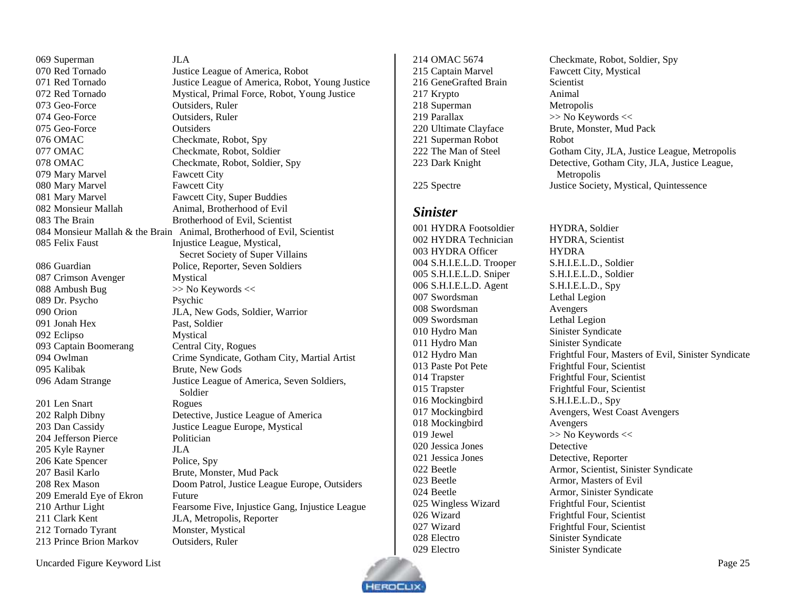Superman JLA Red Tornado Justice League of America, Robot Red Tornado Justice League of America, Robot, Young Justice Red Tornado Mystical, Primal Force, Robot, Young Justice Geo-Force Outsiders, Ruler Geo-Force Outsiders, Ruler Geo-Force Outsiders OMAC Checkmate, Robot, Spy 077 OMAC Checkmate, Robot, Soldier 078 OMAC Checkmate, Robot, Soldier, Spy Mary Marvel Fawcett City Mary Marvel Fawcett City Mary Marvel Fawcett City, Super Buddies 082 Monsieur Mallah Animal, Brotherhood of Evil The Brain Brotherhood of Evil, Scientist Monsieur Mallah & the Brain Animal, Brotherhood of Evil, Scientist 085 Felix Faust Injustice League, Mystical, Secret Society of Super Villains Guardian Police, Reporter, Seven Soldiers Crimson Avenger Mystical 088 Ambush Bug  $\gg$  No Keywords << Dr. Psycho Psychic Orion JLA, New Gods, Soldier, Warrior Jonah Hex Past, Soldier Eclipso Mystical 093 Captain Boomerang Central City, Rogues Owlman Crime Syndicate, Gotham City, Martial Artist Kalibak Brute, New Gods Adam Strange Justice League of America, Seven Soldiers, Soldier 201 Len Snart Rogues Ralph Dibny Detective, Justice League of America Dan Cassidy Justice League Europe, Mystical 204 Jefferson Pierce Politician Kyle Rayner JLA 206 Kate Spencer Police, Spy Basil Karlo Brute, Monster, Mud Pack Rex Mason Doom Patrol, Justice League Europe, Outsiders 209 Emerald Eye of Ekron Future Arthur Light Fearsome Five, Injustice Gang, Injustice League 211 Clark Kent JLA, Metropolis, Reporter 212 Tornado Tyrant Monster, Mystical Prince Brion Markov Outsiders, Ruler

 Captain Marvel Fawcett City, Mystical 216 GeneGrafted Brain Scientist Krypto Animal 218 Superman Metropolis Parallax >> No Keywords << Superman Robot Robot

<span id="page-24-0"></span>

#### *Sinister*

 HYDRA Footsoldier HYDRA, Soldier HYDRA Technician HYDRA, Scientist HYDRA Officer HYDRA S.H.I.E.L.D. Trooper S.H.I.E.L.D., Soldier S.H.I.E.L.D. Sniper S.H.I.E.L.D., Soldier S.H.I.E.L.D. Agent S.H.I.E.L.D., Spy Swordsman Lethal Legion Swordsman Avengers Swordsman Lethal Legion Hydro Man Sinister Syndicate 011 Hydro Man Sinister Syndicate Paste Pot Pete Frightful Four, Scientist 014 Trapster Frightful Four, Scientist Trapster Frightful Four, Scientist Mockingbird S.H.I.E.L.D., Spy Mockingbird Avengers 019 Jewel  $\gg$  No Keywords  $\ll$  Jessica Jones Detective Jessica Jones Detective, Reporter Beetle Armor, Masters of Evil 025 Wingless Wizard Frightful Four, Scientist 026 Wizard Frightful Four, Scientist 027 Wizard Frightful Four, Scientist Electro Sinister Syndicate Electro Sinister Syndicate

 OMAC 5674 Checkmate, Robot, Soldier, Spy Ultimate Clayface Brute, Monster, Mud Pack 222 The Man of Steel Gotham City, JLA, Justice League, Metropolis 223 Dark Knight Detective, Gotham City, JLA, Justice League, Metropolis Spectre Justice Society, Mystical, Quintessence

 Hydro Man Frightful Four, Masters of Evil, Sinister Syndicate Mockingbird Avengers, West Coast Avengers Beetle Armor, Scientist, Sinister Syndicate Beetle Armor, Sinister Syndicate

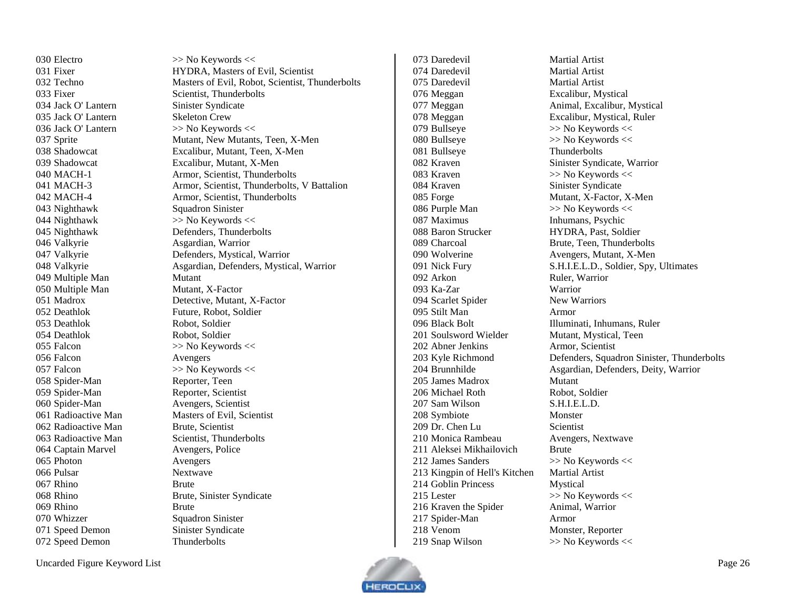030 Electro  $\gg$  No Keywords << Fixer HYDRA, Masters of Evil, Scientist Techno Masters of Evil, Robot, Scientist, Thunderbolts 033 Fixer Scientist, Thunderbolts Sprite Mutant, New Mutants, Teen, X-Men Shadowcat Excalibur, Mutant, Teen, X-Men Shadowcat Excalibur, Mutant, X-Men MACH-1 Armor, Scientist, Thunderbolts MACH-3 Armor, Scientist, Thunderbolts, V Battalion MACH-4 Armor, Scientist, Thunderbolts Nighthawk Defenders, Thunderbolts Valkyrie Defenders, Mystical, Warrior Valkyrie Asgardian, Defenders, Mystical, Warrior Madrox Detective, Mutant, X-Factor Radioactive Man Masters of Evil, Scientist 063 Radioactive Man Scientist, Thunderbolts Rhino Brute, Sinister Syndicate

073 Daredevil Martial Artist 074 Daredevil Martial Artist 075 Daredevil Martial Artist 076 Meggan Excalibur, Mystical 078 Meggan Excalibur, Mystical, Ruler 079 Bullseye  $\gg$  No Keywords  $\ll$ 080 Bullseye  $\gg$  No Keywords << 081 Bullseye Thunderbolts 083 Kraven  $\gg$  No Keywords << 084 Kraven Sinister Syndicate 085 Forge Mutant, X-Factor, X-Men 086 Purple Man  $\gg$  No Keywords << 087 Maximus Inhumans, Psychic 088 Baron Strucker HYDRA, Past, Soldier 089 Charcoal Brute, Teen, Thunderbolts 090 Wolverine Avengers, Mutant, X-Men 092 Arkon Ruler, Warrior 093 Ka-Zar Warrior 094 Scarlet Spider New Warriors 095 Stilt Man Armor 201 Soulsword Wielder Mutant, Mystical, Teen 202 Abner Jenkins Armor, Scientist 205 James Madrox Mutant 206 Michael Roth Robot, Soldier 207 Sam Wilson S.H.I.E.L.D. 208 Symbiote Monster 209 Dr. Chen Lu Scientist 210 Monica Rambeau Avengers, Nextwave 211 Aleksei Mikhailovich Brute 212 James Sanders  $\gg$  No Keywords << 213 Kingpin of Hell's Kitchen Martial Artist 214 Goblin Princess Mystical 215 Lester  $\gg$  No Keywords  $\ll$ 216 Kraven the Spider Animal, Warrior 217 Spider-Man Armor 218 Venom Monster, Reporter 219 Snap Wilson  $\gg$  No Keywords <<

 Meggan Animal, Excalibur, Mystical Kraven Sinister Syndicate, Warrior 091 Nick Fury S.H.I.E.L.D., Soldier, Spy, Ultimates Black Bolt Illuminati, Inhumans, Ruler Kyle Richmond Defenders, Squadron Sinister, Thunderbolts Brunnhilde Asgardian, Defenders, Deity, Warrior



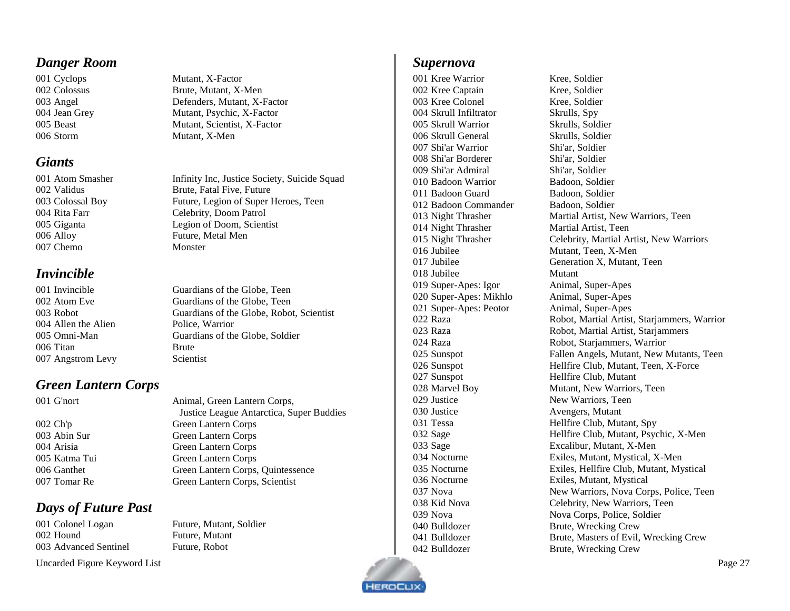#### <span id="page-26-0"></span>*Danger Room*

006 Storm Mutant, X-Men

#### <span id="page-26-1"></span>*Giants*

 Alloy Future, Metal Men 007 Chemo Monster

## <span id="page-26-2"></span>*Invincible*

| 001 Invincible      |
|---------------------|
| 002 Atom Eve        |
| 003 Robot           |
| 004 Allen the Alien |
| 005 Omni-Man        |
| 006 Titan           |
| 007 Angstrom Levy   |
|                     |

## <span id="page-26-3"></span>*Green Lantern Corps*

## <span id="page-26-4"></span>*Days of Future Past*

 Colonel Logan Future, Mutant, Soldier 002 Hound Future, Mutant Advanced Sentinel Future, Robot

Uncarded Figure Keyword List Page 27

 Cyclops Mutant, X-Factor Colossus Brute, Mutant, X-Men Angel Defenders, Mutant, X-Factor Jean Grey Mutant, Psychic, X-Factor Beast Mutant, Scientist, X-Factor

001 Atom Smasher Infinity Inc, Justice Society, Suicide Squad Validus Brute, Fatal Five, Future Colossal Boy Future, Legion of Super Heroes, Teen Rita Farr Celebrity, Doom Patrol Giganta Legion of Doom, Scientist

> Guardians of the Globe, Teen Guardians of the Globe, Teen Guardians of the Globe, Robot, Scientist Police, Warrior Guardians of the Globe, Soldier **Brute** Scientist

 G'nort Animal, Green Lantern Corps, Justice League Antarctica, Super Buddies Ch'p Green Lantern Corps Abin Sur Green Lantern Corps Arisia Green Lantern Corps Katma Tui Green Lantern Corps Ganthet Green Lantern Corps, Quintessence Tomar Re Green Lantern Corps, Scientist

#### <span id="page-26-5"></span>*Supernova*

 Kree Warrior Kree, Soldier Kree Captain Kree, Soldier Kree Colonel Kree, Soldier Skrull Infiltrator Skrulls, Spy Skrull Warrior Skrulls, Soldier Skrull General Skrulls, Soldier Shi'ar Warrior Shi'ar, Soldier Shi'ar Borderer Shi'ar, Soldier 009 Shi'ar Admiral Shi'ar, Soldier Badoon Warrior Badoon, Soldier 011 Badoon Guard Badoon, Soldier Badoon Commander Badoon, Soldier Night Thrasher Martial Artist, Teen Jubilee Mutant, Teen, X-Men Jubilee Mutant Super-Apes: Igor Animal, Super-Apes Super-Apes: Mikhlo Animal, Super-Apes Super-Apes: Peotor Animal, Super-Apes 027 Sunspot Hellfire Club, Mutant 029 Justice New Warriors, Teen Justice Avengers, Mutant Bulldozer Brute, Wrecking Crew Bulldozer Brute, Wrecking Crew

 Night Thrasher Martial Artist, New Warriors, Teen Night Thrasher Celebrity, Martial Artist, New Warriors Jubilee Generation X, Mutant, Teen Raza Robot, Martial Artist, Starjammers, Warrior Raza Robot, Martial Artist, Starjammers Raza Robot, Starjammers, Warrior Sunspot Fallen Angels, Mutant, New Mutants, Teen 026 Sunspot Hellfire Club, Mutant, Teen, X-Force Marvel Boy Mutant, New Warriors, Teen Tessa Hellfire Club, Mutant, Spy Sage Hellfire Club, Mutant, Psychic, X-Men Sage Excalibur, Mutant, X-Men Nocturne Exiles, Mutant, Mystical, X-Men Nocturne Exiles, Hellfire Club, Mutant, Mystical Nocturne Exiles, Mutant, Mystical 037 Nova New Warriors, Nova Corps, Police, Teen Kid Nova Celebrity, New Warriors, Teen 039 Nova **Nova Corps, Police, Soldier** Bulldozer Brute, Masters of Evil, Wrecking Crew

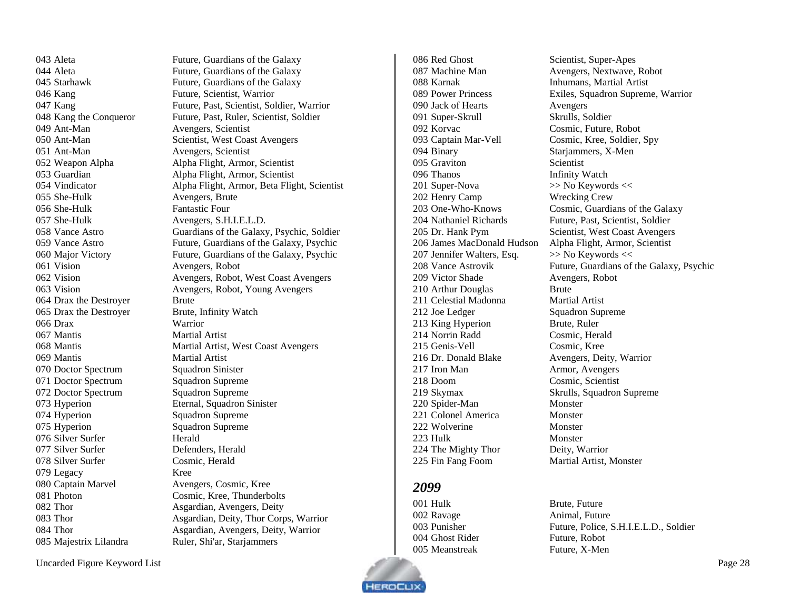Aleta Future, Guardians of the Galaxy Kang Future, Scientist, Warrior Ant-Man Avengers, Scientist Ant-Man Avengers, Scientist 055 She-Hulk Avengers, Brute 056 She-Hulk Fantastic Four 057 She-Hulk Avengers, S.H.I.E.L.D. Vision Avengers, Robot 064 Drax the Destroyer Brute 065 Drax the Destroyer Brute, Infinity Watch Drax Warrior Mantis Martial Artist Mantis Martial Artist 070 Doctor Spectrum Squadron Sinister 071 Doctor Spectrum Squadron Supreme 072 Doctor Spectrum Squadron Supreme Hyperion Eternal, Squadron Sinister 074 Hyperion Squadron Supreme 075 Hyperion Squadron Supreme 076 Silver Surfer Herald Silver Surfer Defenders, Herald Silver Surfer Cosmic, Herald Legacy Kree Captain Marvel Avengers, Cosmic, Kree 085 Majestrix Lilandra Ruler, Shi'ar, Starjammers

044 Aleta Future, Guardians of the Galaxy Starhawk Future, Guardians of the Galaxy Kang Future, Past, Scientist, Soldier, Warrior 048 Kang the Conqueror Future, Past, Ruler, Scientist, Soldier 050 Ant-Man Scientist, West Coast Avengers Weapon Alpha Alpha Flight, Armor, Scientist Guardian Alpha Flight, Armor, Scientist Vindicator Alpha Flight, Armor, Beta Flight, Scientist Vance Astro Guardians of the Galaxy, Psychic, Soldier Vance Astro Future, Guardians of the Galaxy, Psychic Major Victory Future, Guardians of the Galaxy, Psychic Vision Avengers, Robot, West Coast Avengers Vision Avengers, Robot, Young Avengers 068 Mantis Martial Artist, West Coast Avengers Photon Cosmic, Kree, Thunderbolts 082 Thor **Asgardian, Avengers**, Deity Thor Asgardian, Deity, Thor Corps, Warrior Thor Asgardian, Avengers, Deity, Warrior

086 Red Ghost Scientist, Super-Apes Karnak Inhumans, Martial Artist Jack of Hearts Avengers Super-Skrull Skrulls, Soldier Korvac Cosmic, Future, Robot Captain Mar-Vell Cosmic, Kree, Soldier, Spy Binary Starjammers, X-Men Graviton Scientist Thanos Infinity Watch 201 Super-Nova >> No Keywords << Henry Camp Wrecking Crew 207 Jennifer Walters, Esq.  $>>$  No Keywords  $<<$ 209 Victor Shade Avengers, Robot 210 Arthur Douglas Brute Celestial Madonna Martial Artist 212 Joe Ledger Squadron Supreme 213 King Hyperion Brute, Ruler Norrin Radd Cosmic, Herald Genis-Vell Cosmic, Kree Dr. Donald Blake Avengers, Deity, Warrior 217 Iron Man Armor, Avengers Doom Cosmic, Scientist Skymax Skrulls, Squadron Supreme 220 Spider-Man Monster 221 Colonel America Monster Wolverine Monster 223 Hulk Monster 224 The Mighty Thor Deity, Warrior Fin Fang Foom Martial Artist, Monster

## <span id="page-27-0"></span>

001 Hulk Brute, Future 002 Ravage Animal, Future Ghost Rider Future, Robot Meanstreak Future, X-Men

 Machine Man Avengers, Nextwave, Robot Power Princess Exiles, Squadron Supreme, Warrior One-Who-Knows Cosmic, Guardians of the Galaxy Nathaniel Richards Future, Past, Scientist, Soldier Dr. Hank Pym Scientist, West Coast Avengers James MacDonald Hudson Alpha Flight, Armor, Scientist 208 Vance Astrovik Future, Guardians of the Galaxy, Psychic

Punisher Future, Police, S.H.I.E.L.D., Soldier

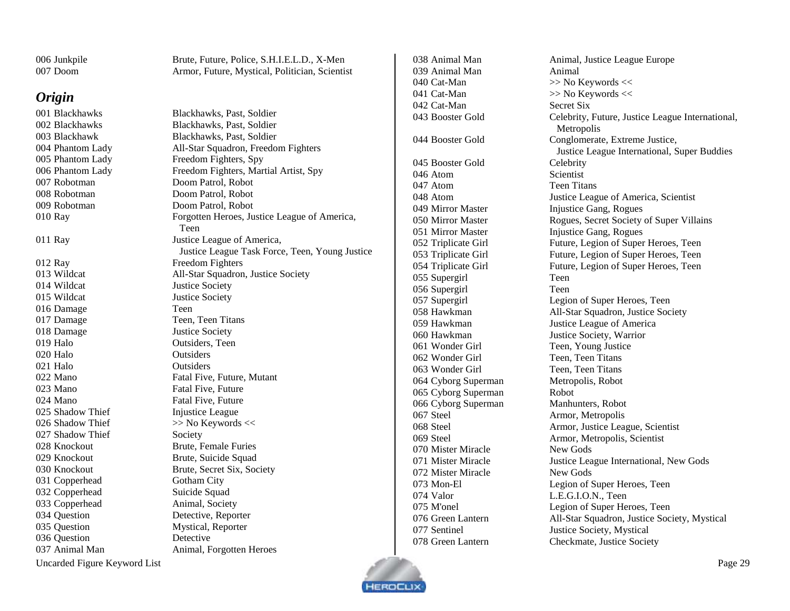| 006 Junkpile | Brute, Future, Police, S.H.I.E.L.D., X-Men     |
|--------------|------------------------------------------------|
| 007 Doom     | Armor, Future, Mystical, Politician, Scientist |

#### <span id="page-28-0"></span>*Origin*

001 Blackhawks Blackhawks, Past, Soldier 002 Blackhawks Blackhawks, Past, Soldier 007 Robotman Doom Patrol, Robot 008 Robotman Doom Patrol, Robot 009 Robotman Doom Patrol, Robot 012 Ray Freedom Fighters 014 Wildcat Justice Society 015 Wildcat Justice Society 016 Damage Teen 017 Damage Teen, Teen Titans 018 Damage Justice Society 019 Halo Outsiders, Teen 020 Halo Outsiders 021 Halo Outsiders 023 Mano Fatal Five, Future 024 Mano Fatal Five, Future 025 Shadow Thief Injustice League 026 Shadow Thief  $\gg$  No Keywords << 027 Shadow Thief Society 028 Knockout Brute, Female Furies 029 Knockout Brute, Suicide Squad 031 Copperhead Gotham City 032 Copperhead Suicide Squad 033 Copperhead Animal, Society 034 Question Detective, Reporter 035 Question Mystical, Reporter 036 Question Detective 037 Animal Man Animal, Forgotten Heroes

003 Blackhawk Blackhawks, Past, Soldier Phantom Lady All-Star Squadron, Freedom Fighters Phantom Lady Freedom Fighters, Spy Phantom Lady Freedom Fighters, Martial Artist, Spy Ray Forgotten Heroes, Justice League of America, Teen Ray Justice League of America, Justice League Task Force, Teen, Young Justice Wildcat All-Star Squadron, Justice Society 022 Mano Fatal Five, Future, Mutant Knockout Brute, Secret Six, Society

039 Animal Man Animal 040 Cat-Man  $\gg$  No Keywords << 041 Cat-Man  $\gg$  No Keywords << 042 Cat-Man Secret Six 045 Booster Gold Celebrity 046 Atom Scientist 047 Atom Teen Titans 055 Supergirl Teen 056 Supergirl Teen 061 Wonder Girl Teen, Young Justice 062 Wonder Girl Teen, Teen Titans 063 Wonder Girl Teen, Teen Titans 064 Cyborg Superman Metropolis, Robot 065 Cyborg Superman Robot 066 Cyborg Superman Manhunters, Robot 067 Steel Armor, Metropolis 070 Mister Miracle New Gods 072 Mister Miracle New Gods 074 Valor L.E.G.I.O.N., Teen 078 Green Lantern Checkmate, Justice Society

038 Animal Man Animal, Justice League Europe 043 Booster Gold Celebrity, Future, Justice League International, Metropolis 044 Booster Gold Conglomerate, Extreme Justice, Justice League International, Super Buddies 048 Atom Justice League of America, Scientist 049 Mirror Master Injustice Gang, Rogues 050 Mirror Master Rogues, Secret Society of Super Villains 051 Mirror Master Injustice Gang, Rogues 052 Triplicate Girl Future, Legion of Super Heroes, Teen 053 Triplicate Girl Future, Legion of Super Heroes, Teen 054 Triplicate Girl Future, Legion of Super Heroes, Teen 057 Supergirl Legion of Super Heroes, Teen 058 Hawkman All-Star Squadron, Justice Society 059 Hawkman Justice League of America 060 Hawkman Justice Society, Warrior 068 Steel Armor, Justice League, Scientist 069 Steel Armor, Metropolis, Scientist 071 Mister Miracle Justice League International, New Gods 073 Mon-El Legion of Super Heroes, Teen 075 M'onel Legion of Super Heroes, Teen 076 Green Lantern All-Star Squadron, Justice Society, Mystical 077 Sentinel Justice Society, Mystical